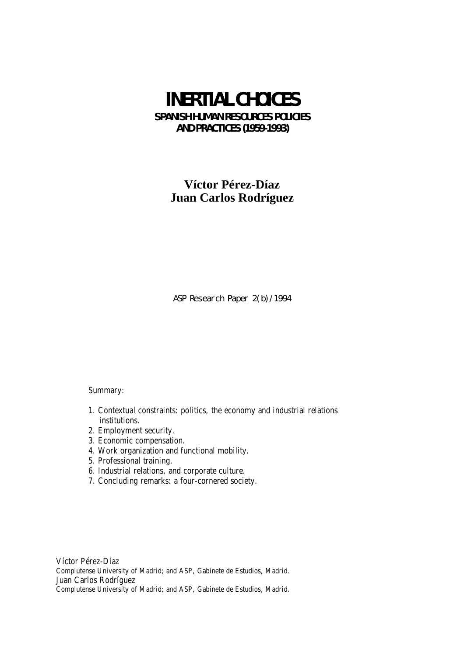# **INERTIAL CHOICES SPANISH HUMAN RESOURCES POLICIES AND PRACTICES (1959-1993)**

## **Víctor Pérez-Díaz Juan Carlos Rodríguez**

ASP Research Paper 2(b)/1994

Summary:

- 1. Contextual constraints: politics, the economy and industrial relations institutions.
- 2. Employment security.
- 3. Economic compensation.
- 4. Work organization and functional mobility.
- 5. Professional training.
- 6. Industrial relations, and corporate culture.
- 7. Concluding remarks: a four-cornered society.

Víctor Pérez-Díaz Complutense University of Madrid; and ASP, Gabinete de Estudios, Madrid. Juan Carlos Rodríguez Complutense University of Madrid; and ASP, Gabinete de Estudios, Madrid.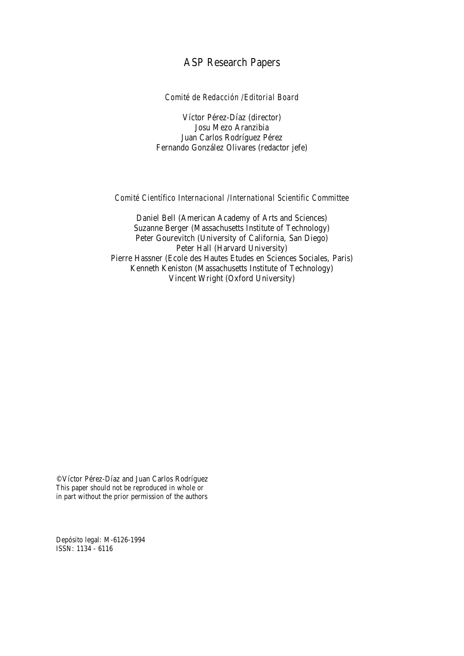## ASP Research Papers

*Comité de Redacción /Editorial Board*

Víctor Pérez-Díaz (director) Josu Mezo Aranzibia Juan Carlos Rodríguez Pérez Fernando González Olivares (redactor jefe)

#### *Comité Científico Internacional /International Scientific Committee*

Daniel Bell (American Academy of Arts and Sciences) Suzanne Berger (Massachusetts Institute of Technology) Peter Gourevitch (University of California, San Diego) Peter Hall (Harvard University) Pierre Hassner (Ecole des Hautes Etudes en Sciences Sociales, Paris) Kenneth Keniston (Massachusetts Institute of Technology) Vincent Wright (Oxford University)

© Víctor Pérez-Díaz and Juan Carlos Rodríguez This paper should not be reproduced in whole or in part without the prior permission of the authors

Depósito legal: M-6126-1994 ISSN: 1134 - 6116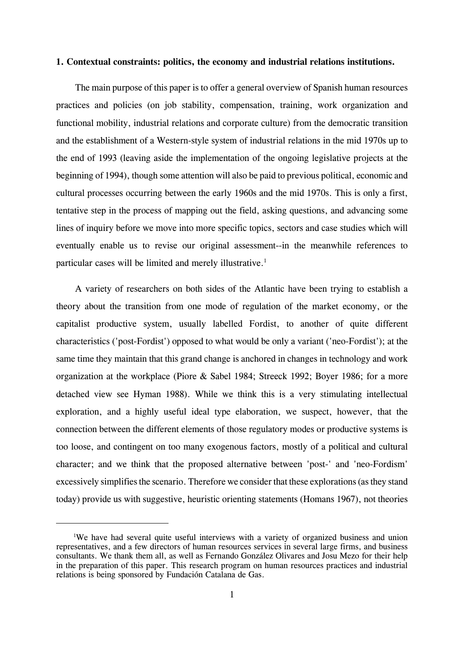#### **1. Contextual constraints: politics, the economy and industrial relations institutions.**

The main purpose of this paper is to offer a general overview of Spanish human resources practices and policies (on job stability, compensation, training, work organization and functional mobility, industrial relations and corporate culture) from the democratic transition and the establishment of a Western-style system of industrial relations in the mid 1970s up to the end of 1993 (leaving aside the implementation of the ongoing legislative projects at the beginning of 1994), though some attention will also be paid to previous political, economic and cultural processes occurring between the early 1960s and the mid 1970s. This is only a first, tentative step in the process of mapping out the field, asking questions, and advancing some lines of inquiry before we move into more specific topics, sectors and case studies which will eventually enable us to revise our original assessment--in the meanwhile references to particular cases will be limited and merely illustrative.<sup>1</sup>

A variety of researchers on both sides of the Atlantic have been trying to establish a theory about the transition from one mode of regulation of the market economy, or the capitalist productive system, usually labelled Fordist, to another of quite different characteristics ('post-Fordist') opposed to what would be only a variant ('neo-Fordist'); at the same time they maintain that this grand change is anchored in changes in technology and work organization at the workplace (Piore & Sabel 1984; Streeck 1992; Boyer 1986; for a more detached view see Hyman 1988). While we think this is a very stimulating intellectual exploration, and a highly useful ideal type elaboration, we suspect, however, that the connection between the different elements of those regulatory modes or productive systems is too loose, and contingent on too many exogenous factors, mostly of a political and cultural character; and we think that the proposed alternative between 'post-' and 'neo-Fordism' excessively simplifies the scenario. Therefore we consider that these explorations (as they stand today) provide us with suggestive, heuristic orienting statements (Homans 1967), not theories

<sup>&</sup>lt;sup>1</sup>We have had several quite useful interviews with a variety of organized business and union representatives, and a few directors of human resources services in several large firms, and business consultants. We thank them all, as well as Fernando González Olivares and Josu Mezo for their help in the preparation of this paper. This research program on human resources practices and industrial relations is being sponsored by Fundación Catalana de Gas.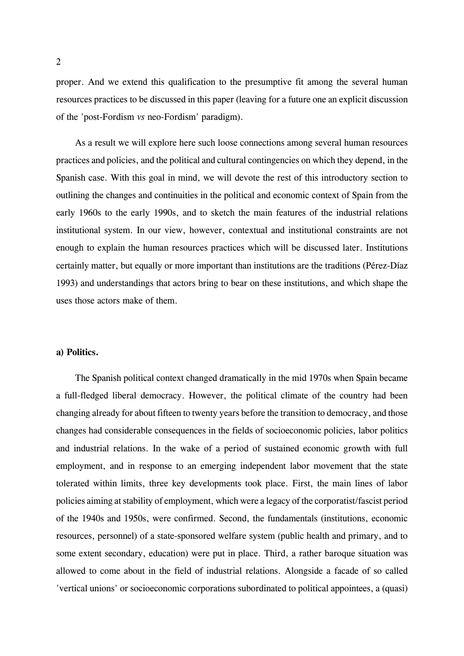proper. And we extend this qualification to the presumptive fit among the several human resources practices to be discussed in this paper (leaving for a future one an explicit discussion of the 'post-Fordism *vs* neo-Fordism' paradigm).

As a result we will explore here such loose connections among several human resources practices and policies, and the political and cultural contingencies on which they depend, in the Spanish case. With this goal in mind, we will devote the rest of this introductory section to outlining the changes and continuities in the political and economic context of Spain from the early 1960s to the early 1990s, and to sketch the main features of the industrial relations institutional system. In our view, however, contextual and institutional constraints are not enough to explain the human resources practices which will be discussed later. Institutions certainly matter, but equally or more important than institutions are the traditions (Pérez-Díaz 1993) and understandings that actors bring to bear on these institutions, and which shape the uses those actors make of them.

### **a) Politics.**

The Spanish political context changed dramatically in the mid 1970s when Spain became a full-fledged liberal democracy. However, the political climate of the country had been changing already for about fifteen to twenty years before the transition to democracy, and those changes had considerable consequences in the fields of socioeconomic policies, labor politics and industrial relations. In the wake of a period of sustained economic growth with full employment, and in response to an emerging independent labor movement that the state tolerated within limits, three key developments took place. First, the main lines of labor policies aiming at stability of employment, which were a legacy of the corporatist/fascist period of the 1940s and 1950s, were confirmed. Second, the fundamentals (institutions, economic resources, personnel) of a state-sponsored welfare system (public health and primary, and to some extent secondary, education) were put in place. Third, a rather baroque situation was allowed to come about in the field of industrial relations. Alongside a facade of so called 'vertical unions' or socioeconomic corporations subordinated to political appointees, a (quasi)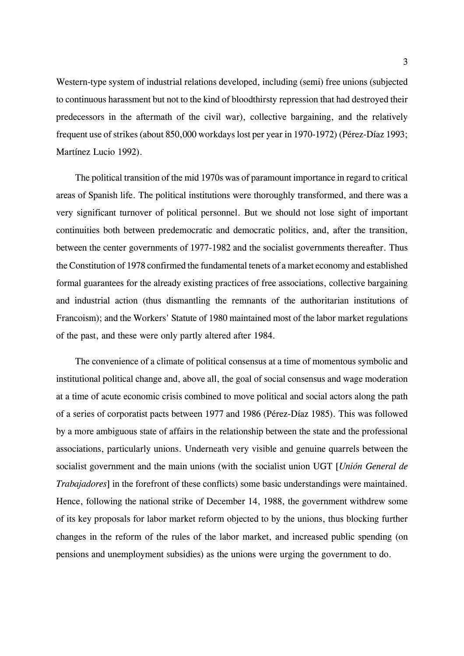Western-type system of industrial relations developed, including (semi) free unions (subjected to continuous harassment but not to the kind of bloodthirsty repression that had destroyed their predecessors in the aftermath of the civil war), collective bargaining, and the relatively frequent use of strikes (about 850,000 workdays lost per year in 1970-1972) (Pérez-Díaz 1993; Martínez Lucio 1992).

The political transition of the mid 1970s was of paramount importance in regard to critical areas of Spanish life. The political institutions were thoroughly transformed, and there was a very significant turnover of political personnel. But we should not lose sight of important continuities both between predemocratic and democratic politics, and, after the transition, between the center governments of 1977-1982 and the socialist governments thereafter. Thus the Constitution of 1978 confirmed the fundamental tenets of a market economy and established formal guarantees for the already existing practices of free associations, collective bargaining and industrial action (thus dismantling the remnants of the authoritarian institutions of Francoism); and the Workers' Statute of 1980 maintained most of the labor market regulations of the past, and these were only partly altered after 1984.

The convenience of a climate of political consensus at a time of momentous symbolic and institutional political change and, above all, the goal of social consensus and wage moderation at a time of acute economic crisis combined to move political and social actors along the path of a series of corporatist pacts between 1977 and 1986 (Pérez-Díaz 1985). This was followed by a more ambiguous state of affairs in the relationship between the state and the professional associations, particularly unions. Underneath very visible and genuine quarrels between the socialist government and the main unions (with the socialist union UGT [*Unión General de Trabajadores*] in the forefront of these conflicts) some basic understandings were maintained. Hence, following the national strike of December 14, 1988, the government withdrew some of its key proposals for labor market reform objected to by the unions, thus blocking further changes in the reform of the rules of the labor market, and increased public spending (on pensions and unemployment subsidies) as the unions were urging the government to do.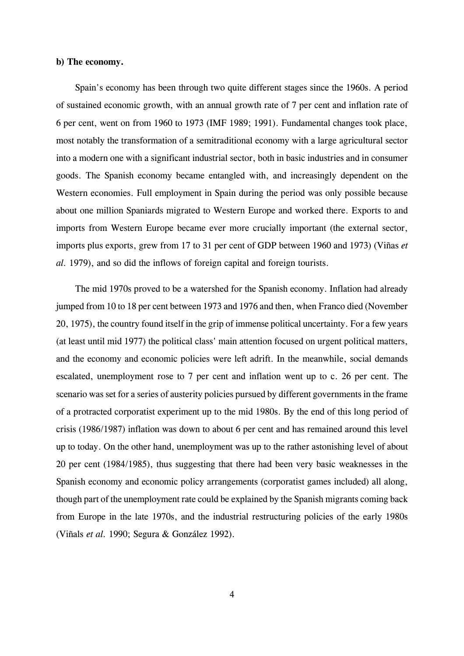#### **b) The economy.**

Spain's economy has been through two quite different stages since the 1960s. A period of sustained economic growth, with an annual growth rate of 7 per cent and inflation rate of 6 per cent, went on from 1960 to 1973 (IMF 1989; 1991). Fundamental changes took place, most notably the transformation of a semitraditional economy with a large agricultural sector into a modern one with a significant industrial sector, both in basic industries and in consumer goods. The Spanish economy became entangled with, and increasingly dependent on the Western economies. Full employment in Spain during the period was only possible because about one million Spaniards migrated to Western Europe and worked there. Exports to and imports from Western Europe became ever more crucially important (the external sector, imports plus exports, grew from 17 to 31 per cent of GDP between 1960 and 1973) (Viñas *et al.* 1979), and so did the inflows of foreign capital and foreign tourists.

The mid 1970s proved to be a watershed for the Spanish economy. Inflation had already jumped from 10 to 18 per cent between 1973 and 1976 and then, when Franco died (November 20, 1975), the country found itself in the grip of immense political uncertainty. For a few years (at least until mid 1977) the political class' main attention focused on urgent political matters, and the economy and economic policies were left adrift. In the meanwhile, social demands escalated, unemployment rose to 7 per cent and inflation went up to c. 26 per cent. The scenario was set for a series of austerity policies pursued by different governments in the frame of a protracted corporatist experiment up to the mid 1980s. By the end of this long period of crisis (1986/1987) inflation was down to about 6 per cent and has remained around this level up to today. On the other hand, unemployment was up to the rather astonishing level of about 20 per cent (1984/1985), thus suggesting that there had been very basic weaknesses in the Spanish economy and economic policy arrangements (corporatist games included) all along, though part of the unemployment rate could be explained by the Spanish migrants coming back from Europe in the late 1970s, and the industrial restructuring policies of the early 1980s (Viñals *et al.* 1990; Segura & González 1992).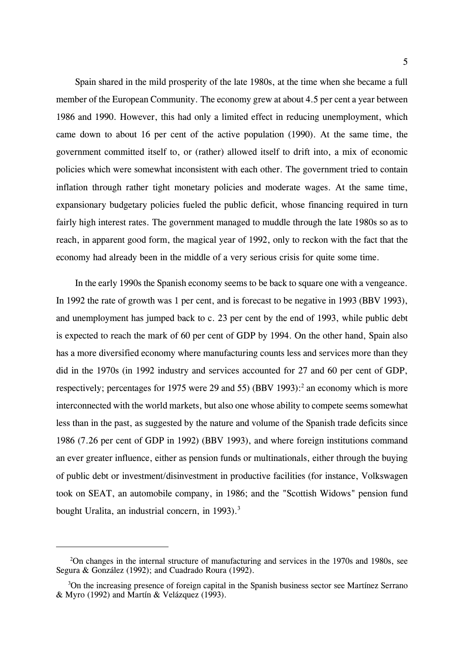Spain shared in the mild prosperity of the late 1980s, at the time when she became a full member of the European Community. The economy grew at about 4.5 per cent a year between 1986 and 1990. However, this had only a limited effect in reducing unemployment, which came down to about 16 per cent of the active population (1990). At the same time, the government committed itself to, or (rather) allowed itself to drift into, a mix of economic policies which were somewhat inconsistent with each other. The government tried to contain inflation through rather tight monetary policies and moderate wages. At the same time, expansionary budgetary policies fueled the public deficit, whose financing required in turn fairly high interest rates. The government managed to muddle through the late 1980s so as to reach, in apparent good form, the magical year of 1992, only to reckon with the fact that the economy had already been in the middle of a very serious crisis for quite some time.

In the early 1990s the Spanish economy seems to be back to square one with a vengeance. In 1992 the rate of growth was 1 per cent, and is forecast to be negative in 1993 (BBV 1993), and unemployment has jumped back to c. 23 per cent by the end of 1993, while public debt is expected to reach the mark of 60 per cent of GDP by 1994. On the other hand, Spain also has a more diversified economy where manufacturing counts less and services more than they did in the 1970s (in 1992 industry and services accounted for 27 and 60 per cent of GDP, respectively; percentages for 1975 were 29 and 55) (BBV 1993): $^2$  an economy which is more interconnected with the world markets, but also one whose ability to compete seems somewhat less than in the past, as suggested by the nature and volume of the Spanish trade deficits since 1986 (7.26 per cent of GDP in 1992) (BBV 1993), and where foreign institutions command an ever greater influence, either as pension funds or multinationals, either through the buying of public debt or investment/disinvestment in productive facilities (for instance, Volkswagen took on SEAT, an automobile company, in 1986; and the "Scottish Widows" pension fund bought Uralita, an industrial concern, in 1993).<sup>3</sup>

 <sup>2</sup> On changes in the internal structure of manufacturing and services in the 1970s and 1980s, see Segura & González (1992); and Cuadrado Roura (1992).

<sup>&</sup>lt;sup>3</sup>On the increasing presence of foreign capital in the Spanish business sector see Martínez Serrano & Myro (1992) and Martín & Velázquez (1993).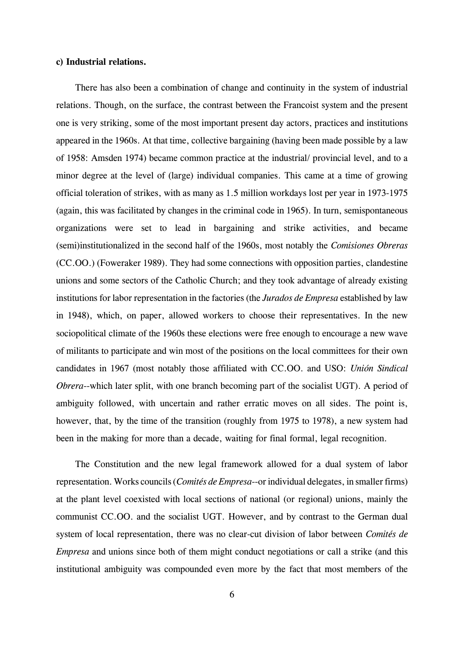#### **c) Industrial relations.**

There has also been a combination of change and continuity in the system of industrial relations. Though, on the surface, the contrast between the Francoist system and the present one is very striking, some of the most important present day actors, practices and institutions appeared in the 1960s. At that time, collective bargaining (having been made possible by a law of 1958: Amsden 1974) became common practice at the industrial/ provincial level, and to a minor degree at the level of (large) individual companies. This came at a time of growing official toleration of strikes, with as many as 1.5 million workdays lost per year in 1973-1975 (again, this was facilitated by changes in the criminal code in 1965). In turn, semispontaneous organizations were set to lead in bargaining and strike activities, and became (semi)institutionalized in the second half of the 1960s, most notably the *Comisiones Obreras* (CC.OO.) (Foweraker 1989). They had some connections with opposition parties, clandestine unions and some sectors of the Catholic Church; and they took advantage of already existing institutions for labor representation in the factories (the *Jurados de Empresa* established by law in 1948), which, on paper, allowed workers to choose their representatives. In the new sociopolitical climate of the 1960s these elections were free enough to encourage a new wave of militants to participate and win most of the positions on the local committees for their own candidates in 1967 (most notably those affiliated with CC.OO. and USO: *Unión Sindical Obrera*--which later split, with one branch becoming part of the socialist UGT). A period of ambiguity followed, with uncertain and rather erratic moves on all sides. The point is, however, that, by the time of the transition (roughly from 1975 to 1978), a new system had been in the making for more than a decade, waiting for final formal, legal recognition.

The Constitution and the new legal framework allowed for a dual system of labor representation. Works councils (*Comités de Empresa*--or individual delegates, in smaller firms) at the plant level coexisted with local sections of national (or regional) unions, mainly the communist CC.OO. and the socialist UGT. However, and by contrast to the German dual system of local representation, there was no clear-cut division of labor between *Comités de Empresa* and unions since both of them might conduct negotiations or call a strike (and this institutional ambiguity was compounded even more by the fact that most members of the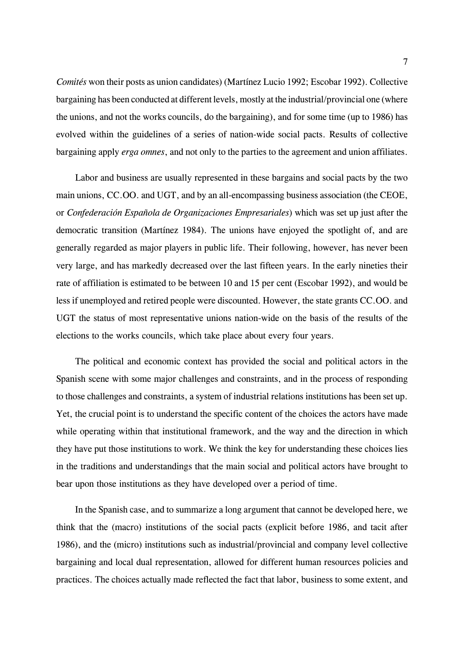*Comités* won their posts as union candidates) (Martínez Lucio 1992; Escobar 1992). Collective bargaining has been conducted at different levels, mostly at the industrial/provincial one (where the unions, and not the works councils, do the bargaining), and for some time (up to 1986) has evolved within the guidelines of a series of nation-wide social pacts. Results of collective bargaining apply *erga omnes*, and not only to the parties to the agreement and union affiliates.

Labor and business are usually represented in these bargains and social pacts by the two main unions, CC.OO. and UGT, and by an all-encompassing business association (the CEOE, or *Confederación Española de Organizaciones Empresariales*) which was set up just after the democratic transition (Martínez 1984). The unions have enjoyed the spotlight of, and are generally regarded as major players in public life. Their following, however, has never been very large, and has markedly decreased over the last fifteen years. In the early nineties their rate of affiliation is estimated to be between 10 and 15 per cent (Escobar 1992), and would be less if unemployed and retired people were discounted. However, the state grants CC.OO. and UGT the status of most representative unions nation-wide on the basis of the results of the elections to the works councils, which take place about every four years.

The political and economic context has provided the social and political actors in the Spanish scene with some major challenges and constraints, and in the process of responding to those challenges and constraints, a system of industrial relations institutions has been set up. Yet, the crucial point is to understand the specific content of the choices the actors have made while operating within that institutional framework, and the way and the direction in which they have put those institutions to work. We think the key for understanding these choices lies in the traditions and understandings that the main social and political actors have brought to bear upon those institutions as they have developed over a period of time.

In the Spanish case, and to summarize a long argument that cannot be developed here, we think that the (macro) institutions of the social pacts (explicit before 1986, and tacit after 1986), and the (micro) institutions such as industrial/provincial and company level collective bargaining and local dual representation, allowed for different human resources policies and practices. The choices actually made reflected the fact that labor, business to some extent, and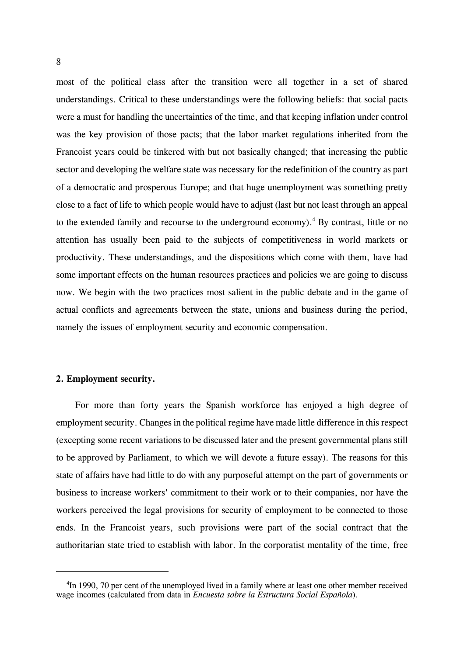most of the political class after the transition were all together in a set of shared understandings. Critical to these understandings were the following beliefs: that social pacts were a must for handling the uncertainties of the time, and that keeping inflation under control was the key provision of those pacts; that the labor market regulations inherited from the Francoist years could be tinkered with but not basically changed; that increasing the public sector and developing the welfare state was necessary for the redefinition of the country as part of a democratic and prosperous Europe; and that huge unemployment was something pretty close to a fact of life to which people would have to adjust (last but not least through an appeal to the extended family and recourse to the underground economy).<sup>4</sup> By contrast, little or no attention has usually been paid to the subjects of competitiveness in world markets or productivity. These understandings, and the dispositions which come with them, have had some important effects on the human resources practices and policies we are going to discuss now. We begin with the two practices most salient in the public debate and in the game of actual conflicts and agreements between the state, unions and business during the period, namely the issues of employment security and economic compensation.

## **2. Employment security.**

For more than forty years the Spanish workforce has enjoyed a high degree of employment security. Changes in the political regime have made little difference in this respect (excepting some recent variations to be discussed later and the present governmental plans still to be approved by Parliament, to which we will devote a future essay). The reasons for this state of affairs have had little to do with any purposeful attempt on the part of governments or business to increase workers' commitment to their work or to their companies, nor have the workers perceived the legal provisions for security of employment to be connected to those ends. In the Francoist years, such provisions were part of the social contract that the authoritarian state tried to establish with labor. In the corporatist mentality of the time, free

<sup>&</sup>lt;sup>4</sup>In 1990, 70 per cent of the unemployed lived in a family where at least one other member received wage incomes (calculated from data in *Encuesta sobre la Estructura Social Española*).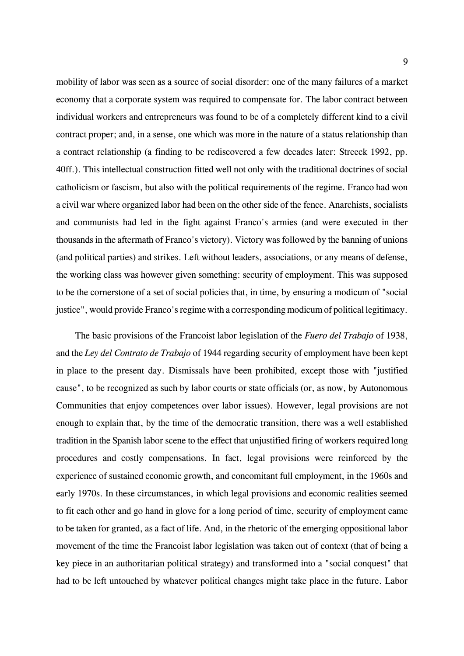mobility of labor was seen as a source of social disorder: one of the many failures of a market economy that a corporate system was required to compensate for. The labor contract between individual workers and entrepreneurs was found to be of a completely different kind to a civil contract proper; and, in a sense, one which was more in the nature of a status relationship than a contract relationship (a finding to be rediscovered a few decades later: Streeck 1992, pp. 40ff.). This intellectual construction fitted well not only with the traditional doctrines of social catholicism or fascism, but also with the political requirements of the regime. Franco had won a civil war where organized labor had been on the other side of the fence. Anarchists, socialists and communists had led in the fight against Franco's armies (and were executed in ther thousands in the aftermath of Franco's victory). Victory was followed by the banning of unions (and political parties) and strikes. Left without leaders, associations, or any means of defense, the working class was however given something: security of employment. This was supposed to be the cornerstone of a set of social policies that, in time, by ensuring a modicum of "social justice", would provide Franco's regime with a corresponding modicum of political legitimacy.

The basic provisions of the Francoist labor legislation of the *Fuero del Trabajo* of 1938, and the *Ley del Contrato de Trabajo* of 1944 regarding security of employment have been kept in place to the present day. Dismissals have been prohibited, except those with "justified cause", to be recognized as such by labor courts or state officials (or, as now, by Autonomous Communities that enjoy competences over labor issues). However, legal provisions are not enough to explain that, by the time of the democratic transition, there was a well established tradition in the Spanish labor scene to the effect that unjustified firing of workers required long procedures and costly compensations. In fact, legal provisions were reinforced by the experience of sustained economic growth, and concomitant full employment, in the 1960s and early 1970s. In these circumstances, in which legal provisions and economic realities seemed to fit each other and go hand in glove for a long period of time, security of employment came to be taken for granted, as a fact of life. And, in the rhetoric of the emerging oppositional labor movement of the time the Francoist labor legislation was taken out of context (that of being a key piece in an authoritarian political strategy) and transformed into a "social conquest" that had to be left untouched by whatever political changes might take place in the future. Labor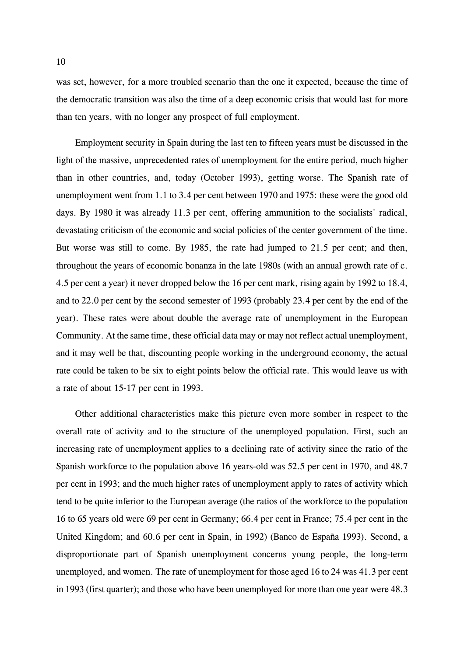was set, however, for a more troubled scenario than the one it expected, because the time of the democratic transition was also the time of a deep economic crisis that would last for more than ten years, with no longer any prospect of full employment.

Employment security in Spain during the last ten to fifteen years must be discussed in the light of the massive, unprecedented rates of unemployment for the entire period, much higher than in other countries, and, today (October 1993), getting worse. The Spanish rate of unemployment went from 1.1 to 3.4 per cent between 1970 and 1975: these were the good old days. By 1980 it was already 11.3 per cent, offering ammunition to the socialists' radical, devastating criticism of the economic and social policies of the center government of the time. But worse was still to come. By 1985, the rate had jumped to 21.5 per cent; and then, throughout the years of economic bonanza in the late 1980s (with an annual growth rate of c. 4.5 per cent a year) it never dropped below the 16 per cent mark, rising again by 1992 to 18.4, and to 22.0 per cent by the second semester of 1993 (probably 23.4 per cent by the end of the year). These rates were about double the average rate of unemployment in the European Community. At the same time, these official data may or may not reflect actual unemployment, and it may well be that, discounting people working in the underground economy, the actual rate could be taken to be six to eight points below the official rate. This would leave us with a rate of about 15-17 per cent in 1993.

Other additional characteristics make this picture even more somber in respect to the overall rate of activity and to the structure of the unemployed population. First, such an increasing rate of unemployment applies to a declining rate of activity since the ratio of the Spanish workforce to the population above 16 years-old was 52.5 per cent in 1970, and 48.7 per cent in 1993; and the much higher rates of unemployment apply to rates of activity which tend to be quite inferior to the European average (the ratios of the workforce to the population 16 to 65 years old were 69 per cent in Germany; 66.4 per cent in France; 75.4 per cent in the United Kingdom; and 60.6 per cent in Spain, in 1992) (Banco de España 1993). Second, a disproportionate part of Spanish unemployment concerns young people, the long-term unemployed, and women. The rate of unemployment for those aged 16 to 24 was 41.3 per cent in 1993 (first quarter); and those who have been unemployed for more than one year were 48.3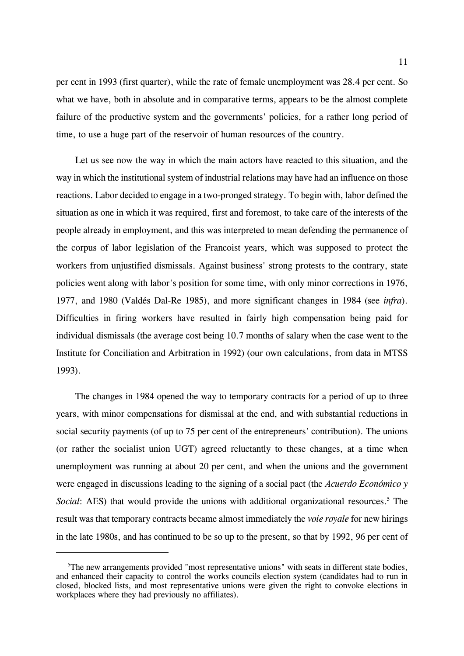per cent in 1993 (first quarter), while the rate of female unemployment was 28.4 per cent. So what we have, both in absolute and in comparative terms, appears to be the almost complete failure of the productive system and the governments' policies, for a rather long period of time, to use a huge part of the reservoir of human resources of the country.

Let us see now the way in which the main actors have reacted to this situation, and the way in which the institutional system of industrial relations may have had an influence on those reactions. Labor decided to engage in a two-pronged strategy. To begin with, labor defined the situation as one in which it was required, first and foremost, to take care of the interests of the people already in employment, and this was interpreted to mean defending the permanence of the corpus of labor legislation of the Francoist years, which was supposed to protect the workers from unjustified dismissals. Against business' strong protests to the contrary, state policies went along with labor's position for some time, with only minor corrections in 1976, 1977, and 1980 (Valdés Dal-Re 1985), and more significant changes in 1984 (see *infra*). Difficulties in firing workers have resulted in fairly high compensation being paid for individual dismissals (the average cost being 10.7 months of salary when the case went to the Institute for Conciliation and Arbitration in 1992) (our own calculations, from data in MTSS 1993).

The changes in 1984 opened the way to temporary contracts for a period of up to three years, with minor compensations for dismissal at the end, and with substantial reductions in social security payments (of up to 75 per cent of the entrepreneurs' contribution). The unions (or rather the socialist union UGT) agreed reluctantly to these changes, at a time when unemployment was running at about 20 per cent, and when the unions and the government were engaged in discussions leading to the signing of a social pact (the *Acuerdo Económico y* Social: AES) that would provide the unions with additional organizational resources.<sup>5</sup> The result was that temporary contracts became almost immediately the *voie royale* for new hirings in the late 1980s, and has continued to be so up to the present, so that by 1992, 96 per cent of

<sup>&</sup>lt;sup>5</sup>The new arrangements provided "most representative unions" with seats in different state bodies, and enhanced their capacity to control the works councils election system (candidates had to run in closed, blocked lists, and most representative unions were given the right to convoke elections in workplaces where they had previously no affiliates).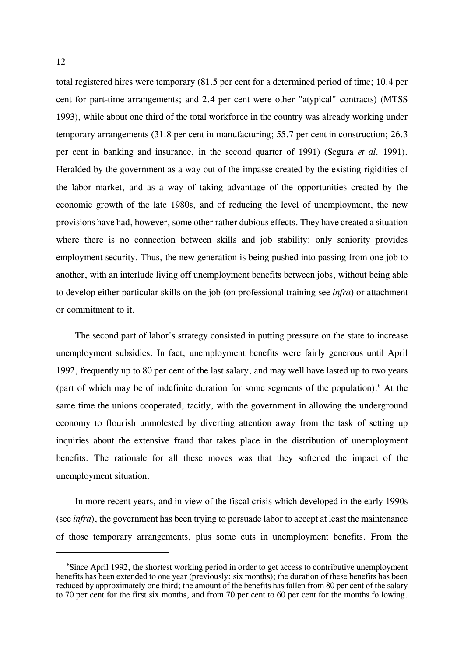total registered hires were temporary (81.5 per cent for a determined period of time; 10.4 per cent for part-time arrangements; and 2.4 per cent were other "atypical" contracts) (MTSS 1993), while about one third of the total workforce in the country was already working under temporary arrangements (31.8 per cent in manufacturing; 55.7 per cent in construction; 26.3 per cent in banking and insurance, in the second quarter of 1991) (Segura *et al.* 1991). Heralded by the government as a way out of the impasse created by the existing rigidities of the labor market, and as a way of taking advantage of the opportunities created by the economic growth of the late 1980s, and of reducing the level of unemployment, the new provisions have had, however, some other rather dubious effects. They have created a situation where there is no connection between skills and job stability: only seniority provides employment security. Thus, the new generation is being pushed into passing from one job to another, with an interlude living off unemployment benefits between jobs, without being able to develop either particular skills on the job (on professional training see *infra*) or attachment or commitment to it.

The second part of labor's strategy consisted in putting pressure on the state to increase unemployment subsidies. In fact, unemployment benefits were fairly generous until April 1992, frequently up to 80 per cent of the last salary, and may well have lasted up to two years (part of which may be of indefinite duration for some segments of the population).<sup>6</sup> At the same time the unions cooperated, tacitly, with the government in allowing the underground economy to flourish unmolested by diverting attention away from the task of setting up inquiries about the extensive fraud that takes place in the distribution of unemployment benefits. The rationale for all these moves was that they softened the impact of the unemployment situation.

In more recent years, and in view of the fiscal crisis which developed in the early 1990s (see *infra*), the government has been trying to persuade labor to accept at least the maintenance of those temporary arrangements, plus some cuts in unemployment benefits. From the

<sup>&</sup>lt;sup>6</sup>Since April 1992, the shortest working period in order to get access to contributive unemployment benefits has been extended to one year (previously: six months); the duration of these benefits has been reduced by approximately one third; the amount of the benefits has fallen from 80 per cent of the salary to 70 per cent for the first six months, and from 70 per cent to 60 per cent for the months following.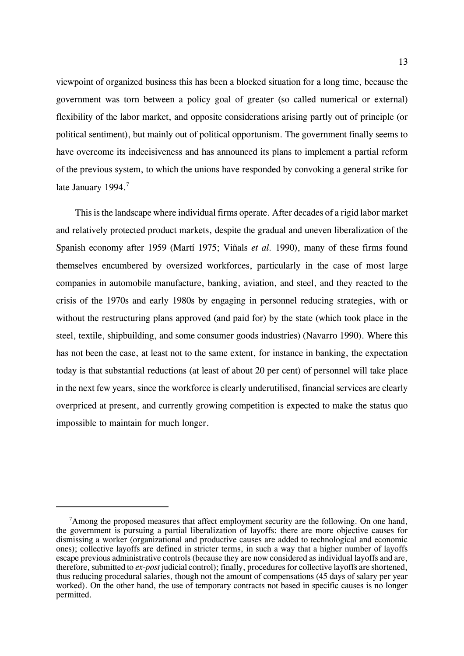viewpoint of organized business this has been a blocked situation for a long time, because the government was torn between a policy goal of greater (so called numerical or external) flexibility of the labor market, and opposite considerations arising partly out of principle (or political sentiment), but mainly out of political opportunism. The government finally seems to have overcome its indecisiveness and has announced its plans to implement a partial reform of the previous system, to which the unions have responded by convoking a general strike for late January 1994.<sup>7</sup>

This is the landscape where individual firms operate. After decades of a rigid labor market and relatively protected product markets, despite the gradual and uneven liberalization of the Spanish economy after 1959 (Martí 1975; Viñals *et al.* 1990), many of these firms found themselves encumbered by oversized workforces, particularly in the case of most large companies in automobile manufacture, banking, aviation, and steel, and they reacted to the crisis of the 1970s and early 1980s by engaging in personnel reducing strategies, with or without the restructuring plans approved (and paid for) by the state (which took place in the steel, textile, shipbuilding, and some consumer goods industries) (Navarro 1990). Where this has not been the case, at least not to the same extent, for instance in banking, the expectation today is that substantial reductions (at least of about 20 per cent) of personnel will take place in the next few years, since the workforce is clearly underutilised, financial services are clearly overpriced at present, and currently growing competition is expected to make the status quo impossible to maintain for much longer.

<sup>&</sup>lt;sup>7</sup>Among the proposed measures that affect employment security are the following. On one hand, the government is pursuing a partial liberalization of layoffs: there are more objective causes for dismissing a worker (organizational and productive causes are added to technological and economic ones); collective layoffs are defined in stricter terms, in such a way that a higher number of layoffs escape previous administrative controls (because they are now considered as individual layoffs and are, therefore, submitted to *ex-post* judicial control); finally, procedures for collective layoffs are shortened, thus reducing procedural salaries, though not the amount of compensations (45 days of salary per year worked). On the other hand, the use of temporary contracts not based in specific causes is no longer permitted.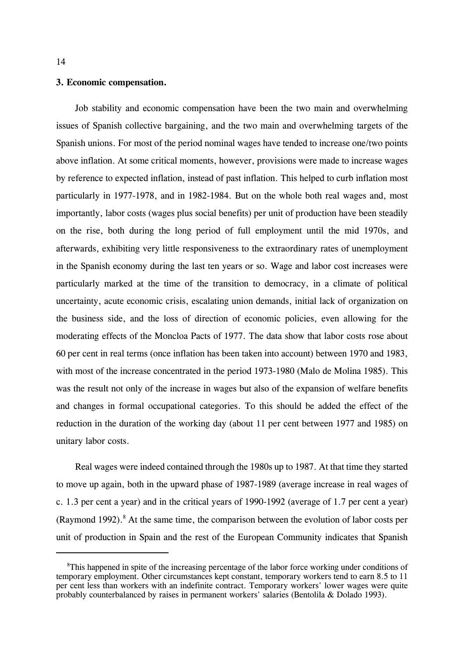#### **3. Economic compensation.**

Job stability and economic compensation have been the two main and overwhelming issues of Spanish collective bargaining, and the two main and overwhelming targets of the Spanish unions. For most of the period nominal wages have tended to increase one/two points above inflation. At some critical moments, however, provisions were made to increase wages by reference to expected inflation, instead of past inflation. This helped to curb inflation most particularly in 1977-1978, and in 1982-1984. But on the whole both real wages and, most importantly, labor costs (wages plus social benefits) per unit of production have been steadily on the rise, both during the long period of full employment until the mid 1970s, and afterwards, exhibiting very little responsiveness to the extraordinary rates of unemployment in the Spanish economy during the last ten years or so. Wage and labor cost increases were particularly marked at the time of the transition to democracy, in a climate of political uncertainty, acute economic crisis, escalating union demands, initial lack of organization on the business side, and the loss of direction of economic policies, even allowing for the moderating effects of the Moncloa Pacts of 1977. The data show that labor costs rose about 60 per cent in real terms (once inflation has been taken into account) between 1970 and 1983, with most of the increase concentrated in the period 1973-1980 (Malo de Molina 1985). This was the result not only of the increase in wages but also of the expansion of welfare benefits and changes in formal occupational categories. To this should be added the effect of the reduction in the duration of the working day (about 11 per cent between 1977 and 1985) on unitary labor costs.

Real wages were indeed contained through the 1980s up to 1987. At that time they started to move up again, both in the upward phase of 1987-1989 (average increase in real wages of c. 1.3 per cent a year) and in the critical years of 1990-1992 (average of 1.7 per cent a year) (Raymond 1992). $8$  At the same time, the comparison between the evolution of labor costs per unit of production in Spain and the rest of the European Community indicates that Spanish

<sup>&</sup>lt;sup>8</sup>This happened in spite of the increasing percentage of the labor force working under conditions of temporary employment. Other circumstances kept constant, temporary workers tend to earn 8.5 to 11 per cent less than workers with an indefinite contract. Temporary workers' lower wages were quite probably counterbalanced by raises in permanent workers' salaries (Bentolila & Dolado 1993).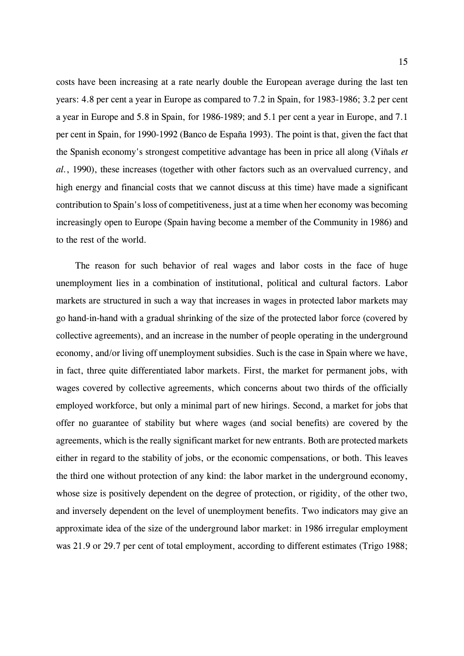costs have been increasing at a rate nearly double the European average during the last ten years: 4.8 per cent a year in Europe as compared to 7.2 in Spain, for 1983-1986; 3.2 per cent a year in Europe and 5.8 in Spain, for 1986-1989; and 5.1 per cent a year in Europe, and 7.1 per cent in Spain, for 1990-1992 (Banco de España 1993). The point is that, given the fact that the Spanish economy's strongest competitive advantage has been in price all along (Viñals *et al.*, 1990), these increases (together with other factors such as an overvalued currency, and high energy and financial costs that we cannot discuss at this time) have made a significant contribution to Spain's loss of competitiveness, just at a time when her economy was becoming increasingly open to Europe (Spain having become a member of the Community in 1986) and to the rest of the world.

The reason for such behavior of real wages and labor costs in the face of huge unemployment lies in a combination of institutional, political and cultural factors. Labor markets are structured in such a way that increases in wages in protected labor markets may go hand-in-hand with a gradual shrinking of the size of the protected labor force (covered by collective agreements), and an increase in the number of people operating in the underground economy, and/or living off unemployment subsidies. Such is the case in Spain where we have, in fact, three quite differentiated labor markets. First, the market for permanent jobs, with wages covered by collective agreements, which concerns about two thirds of the officially employed workforce, but only a minimal part of new hirings. Second, a market for jobs that offer no guarantee of stability but where wages (and social benefits) are covered by the agreements, which is the really significant market for new entrants. Both are protected markets either in regard to the stability of jobs, or the economic compensations, or both. This leaves the third one without protection of any kind: the labor market in the underground economy, whose size is positively dependent on the degree of protection, or rigidity, of the other two, and inversely dependent on the level of unemployment benefits. Two indicators may give an approximate idea of the size of the underground labor market: in 1986 irregular employment was 21.9 or 29.7 per cent of total employment, according to different estimates (Trigo 1988;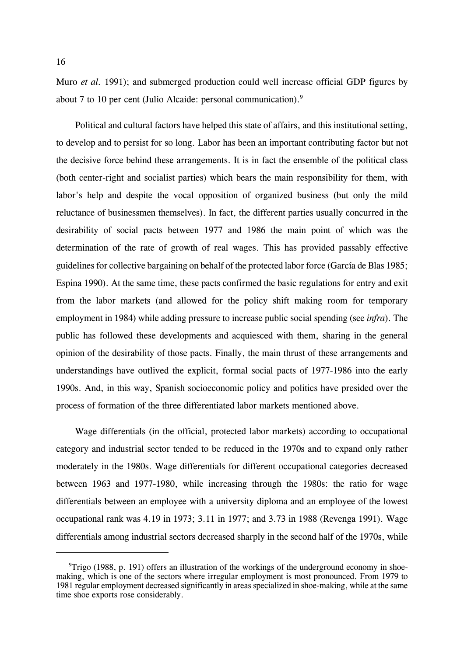Muro *et al.* 1991); and submerged production could well increase official GDP figures by about 7 to 10 per cent (Julio Alcaide: personal communication).<sup>9</sup>

Political and cultural factors have helped this state of affairs, and this institutional setting, to develop and to persist for so long. Labor has been an important contributing factor but not the decisive force behind these arrangements. It is in fact the ensemble of the political class (both center-right and socialist parties) which bears the main responsibility for them, with labor's help and despite the vocal opposition of organized business (but only the mild reluctance of businessmen themselves). In fact, the different parties usually concurred in the desirability of social pacts between 1977 and 1986 the main point of which was the determination of the rate of growth of real wages. This has provided passably effective guidelines for collective bargaining on behalf of the protected labor force (García de Blas 1985; Espina 1990). At the same time, these pacts confirmed the basic regulations for entry and exit from the labor markets (and allowed for the policy shift making room for temporary employment in 1984) while adding pressure to increase public social spending (see *infra*). The public has followed these developments and acquiesced with them, sharing in the general opinion of the desirability of those pacts. Finally, the main thrust of these arrangements and understandings have outlived the explicit, formal social pacts of 1977-1986 into the early 1990s. And, in this way, Spanish socioeconomic policy and politics have presided over the process of formation of the three differentiated labor markets mentioned above.

Wage differentials (in the official, protected labor markets) according to occupational category and industrial sector tended to be reduced in the 1970s and to expand only rather moderately in the 1980s. Wage differentials for different occupational categories decreased between 1963 and 1977-1980, while increasing through the 1980s: the ratio for wage differentials between an employee with a university diploma and an employee of the lowest occupational rank was 4.19 in 1973; 3.11 in 1977; and 3.73 in 1988 (Revenga 1991). Wage differentials among industrial sectors decreased sharply in the second half of the 1970s, while

<sup>&</sup>lt;sup>9</sup>Trigo (1988, p. 191) offers an illustration of the workings of the underground economy in shoemaking, which is one of the sectors where irregular employment is most pronounced. From 1979 to 1981 regular employment decreased significantly in areas specialized in shoe-making, while at the same time shoe exports rose considerably.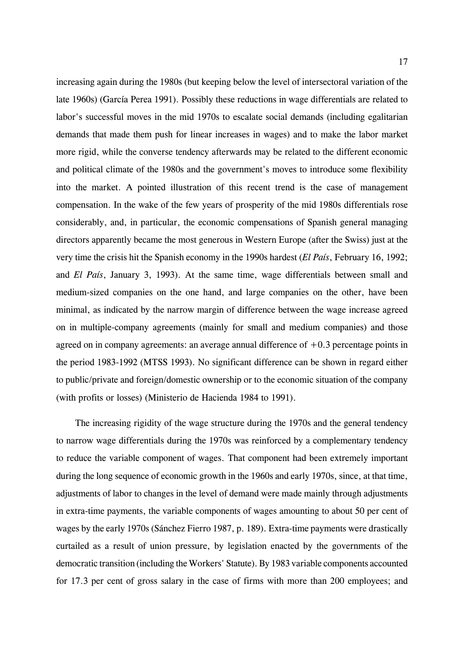increasing again during the 1980s (but keeping below the level of intersectoral variation of the late 1960s) (García Perea 1991). Possibly these reductions in wage differentials are related to labor's successful moves in the mid 1970s to escalate social demands (including egalitarian demands that made them push for linear increases in wages) and to make the labor market more rigid, while the converse tendency afterwards may be related to the different economic and political climate of the 1980s and the government's moves to introduce some flexibility into the market. A pointed illustration of this recent trend is the case of management compensation. In the wake of the few years of prosperity of the mid 1980s differentials rose considerably, and, in particular, the economic compensations of Spanish general managing directors apparently became the most generous in Western Europe (after the Swiss) just at the very time the crisis hit the Spanish economy in the 1990s hardest (*El País*, February 16, 1992; and *El País*, January 3, 1993). At the same time, wage differentials between small and medium-sized companies on the one hand, and large companies on the other, have been minimal, as indicated by the narrow margin of difference between the wage increase agreed on in multiple-company agreements (mainly for small and medium companies) and those agreed on in company agreements: an average annual difference of  $+0.3$  percentage points in the period 1983-1992 (MTSS 1993). No significant difference can be shown in regard either to public/private and foreign/domestic ownership or to the economic situation of the company (with profits or losses) (Ministerio de Hacienda 1984 to 1991).

The increasing rigidity of the wage structure during the 1970s and the general tendency to narrow wage differentials during the 1970s was reinforced by a complementary tendency to reduce the variable component of wages. That component had been extremely important during the long sequence of economic growth in the 1960s and early 1970s, since, at that time, adjustments of labor to changes in the level of demand were made mainly through adjustments in extra-time payments, the variable components of wages amounting to about 50 per cent of wages by the early 1970s (Sánchez Fierro 1987, p. 189). Extra-time payments were drastically curtailed as a result of union pressure, by legislation enacted by the governments of the democratic transition (including the Workers' Statute). By 1983 variable components accounted for 17.3 per cent of gross salary in the case of firms with more than 200 employees; and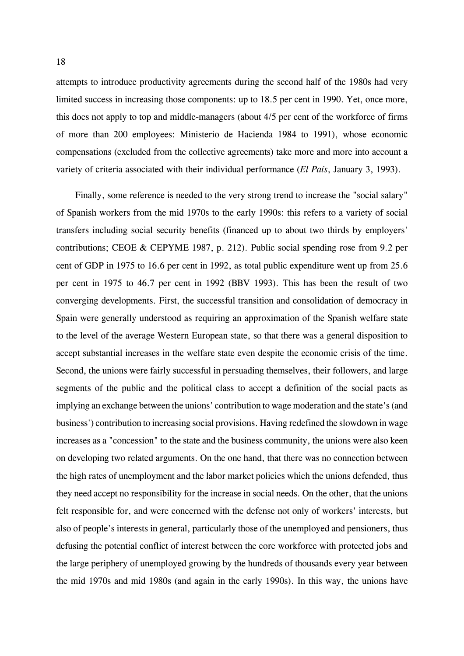attempts to introduce productivity agreements during the second half of the 1980s had very limited success in increasing those components: up to 18.5 per cent in 1990. Yet, once more, this does not apply to top and middle-managers (about 4/5 per cent of the workforce of firms of more than 200 employees: Ministerio de Hacienda 1984 to 1991), whose economic compensations (excluded from the collective agreements) take more and more into account a variety of criteria associated with their individual performance (*El País*, January 3, 1993).

Finally, some reference is needed to the very strong trend to increase the "social salary" of Spanish workers from the mid 1970s to the early 1990s: this refers to a variety of social transfers including social security benefits (financed up to about two thirds by employers' contributions; CEOE & CEPYME 1987, p. 212). Public social spending rose from 9.2 per cent of GDP in 1975 to 16.6 per cent in 1992, as total public expenditure went up from 25.6 per cent in 1975 to 46.7 per cent in 1992 (BBV 1993). This has been the result of two converging developments. First, the successful transition and consolidation of democracy in Spain were generally understood as requiring an approximation of the Spanish welfare state to the level of the average Western European state, so that there was a general disposition to accept substantial increases in the welfare state even despite the economic crisis of the time. Second, the unions were fairly successful in persuading themselves, their followers, and large segments of the public and the political class to accept a definition of the social pacts as implying an exchange between the unions' contribution to wage moderation and the state's (and business') contribution to increasing social provisions. Having redefined the slowdown in wage increases as a "concession" to the state and the business community, the unions were also keen on developing two related arguments. On the one hand, that there was no connection between the high rates of unemployment and the labor market policies which the unions defended, thus they need accept no responsibility for the increase in social needs. On the other, that the unions felt responsible for, and were concerned with the defense not only of workers' interests, but also of people's interests in general, particularly those of the unemployed and pensioners, thus defusing the potential conflict of interest between the core workforce with protected jobs and the large periphery of unemployed growing by the hundreds of thousands every year between the mid 1970s and mid 1980s (and again in the early 1990s). In this way, the unions have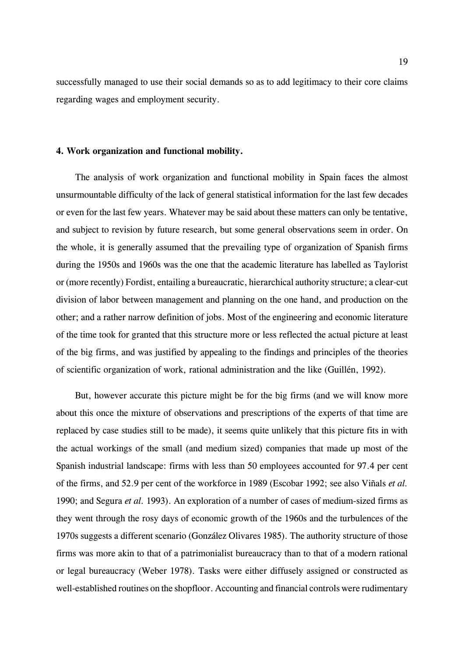successfully managed to use their social demands so as to add legitimacy to their core claims regarding wages and employment security.

## **4. Work organization and functional mobility.**

The analysis of work organization and functional mobility in Spain faces the almost unsurmountable difficulty of the lack of general statistical information for the last few decades or even for the last few years. Whatever may be said about these matters can only be tentative, and subject to revision by future research, but some general observations seem in order. On the whole, it is generally assumed that the prevailing type of organization of Spanish firms during the 1950s and 1960s was the one that the academic literature has labelled as Taylorist or (more recently) Fordist, entailing a bureaucratic, hierarchical authority structure; a clear-cut division of labor between management and planning on the one hand, and production on the other; and a rather narrow definition of jobs. Most of the engineering and economic literature of the time took for granted that this structure more or less reflected the actual picture at least of the big firms, and was justified by appealing to the findings and principles of the theories of scientific organization of work, rational administration and the like (Guillén, 1992).

But, however accurate this picture might be for the big firms (and we will know more about this once the mixture of observations and prescriptions of the experts of that time are replaced by case studies still to be made), it seems quite unlikely that this picture fits in with the actual workings of the small (and medium sized) companies that made up most of the Spanish industrial landscape: firms with less than 50 employees accounted for 97.4 per cent of the firms, and 52.9 per cent of the workforce in 1989 (Escobar 1992; see also Viñals *et al.* 1990; and Segura *et al.* 1993). An exploration of a number of cases of medium-sized firms as they went through the rosy days of economic growth of the 1960s and the turbulences of the 1970s suggests a different scenario (González Olivares 1985). The authority structure of those firms was more akin to that of a patrimonialist bureaucracy than to that of a modern rational or legal bureaucracy (Weber 1978). Tasks were either diffusely assigned or constructed as well-established routines on the shopfloor. Accounting and financial controls were rudimentary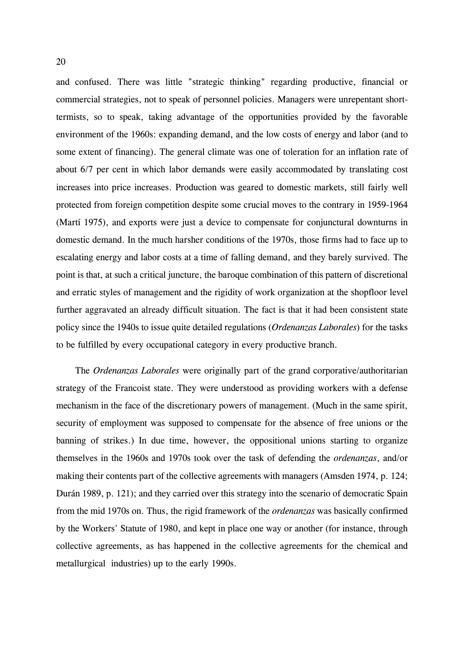and confused. There was little "strategic thinking" regarding productive, financial or commercial strategies, not to speak of personnel policies. Managers were unrepentant shorttermists, so to speak, taking advantage of the opportunities provided by the favorable environment of the 1960s: expanding demand, and the low costs of energy and labor (and to some extent of financing). The general climate was one of toleration for an inflation rate of about 6/7 per cent in which labor demands were easily accommodated by translating cost increases into price increases. Production was geared to domestic markets, still fairly well protected from foreign competition despite some crucial moves to the contrary in 1959-1964 (Martí 1975), and exports were just a device to compensate for conjunctural downturns in domestic demand. In the much harsher conditions of the 1970s, those firms had to face up to escalating energy and labor costs at a time of falling demand, and they barely survived. The point is that, at such a critical juncture, the baroque combination of this pattern of discretional and erratic styles of management and the rigidity of work organization at the shopfloor level further aggravated an already difficult situation. The fact is that it had been consistent state policy since the 1940s to issue quite detailed regulations (*Ordenanzas Laborales*) for the tasks to be fulfilled by every occupational category in every productive branch.

The *Ordenanzas Laborales* were originally part of the grand corporative/authoritarian strategy of the Francoist state. They were understood as providing workers with a defense mechanism in the face of the discretionary powers of management. (Much in the same spirit, security of employment was supposed to compensate for the absence of free unions or the banning of strikes.) In due time, however, the oppositional unions starting to organize themselves in the 1960s and 1970s took over the task of defending the *ordenanzas*, and/or making their contents part of the collective agreements with managers (Amsden 1974, p. 124; Durán 1989, p. 121); and they carried over this strategy into the scenario of democratic Spain from the mid 1970s on. Thus, the rigid framework of the *ordenanzas* was basically confirmed by the Workers' Statute of 1980, and kept in place one way or another (for instance, through collective agreements, as has happened in the collective agreements for the chemical and metallurgical industries) up to the early 1990s.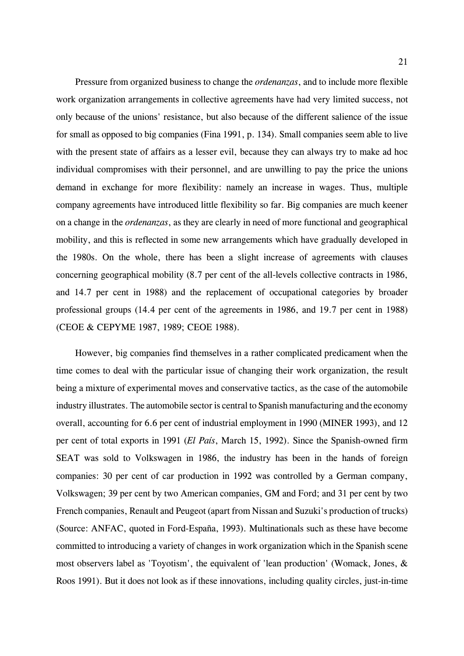Pressure from organized business to change the *ordenanzas*, and to include more flexible work organization arrangements in collective agreements have had very limited success, not only because of the unions' resistance, but also because of the different salience of the issue for small as opposed to big companies (Fina 1991, p. 134). Small companies seem able to live with the present state of affairs as a lesser evil, because they can always try to make ad hoc individual compromises with their personnel, and are unwilling to pay the price the unions demand in exchange for more flexibility: namely an increase in wages. Thus, multiple company agreements have introduced little flexibility so far. Big companies are much keener on a change in the *ordenanzas*, as they are clearly in need of more functional and geographical mobility, and this is reflected in some new arrangements which have gradually developed in the 1980s. On the whole, there has been a slight increase of agreements with clauses concerning geographical mobility (8.7 per cent of the all-levels collective contracts in 1986, and 14.7 per cent in 1988) and the replacement of occupational categories by broader professional groups (14.4 per cent of the agreements in 1986, and 19.7 per cent in 1988) (CEOE & CEPYME 1987, 1989; CEOE 1988).

However, big companies find themselves in a rather complicated predicament when the time comes to deal with the particular issue of changing their work organization, the result being a mixture of experimental moves and conservative tactics, as the case of the automobile industry illustrates. The automobile sector is central to Spanish manufacturing and the economy overall, accounting for 6.6 per cent of industrial employment in 1990 (MINER 1993), and 12 per cent of total exports in 1991 (*El País*, March 15, 1992). Since the Spanish-owned firm SEAT was sold to Volkswagen in 1986, the industry has been in the hands of foreign companies: 30 per cent of car production in 1992 was controlled by a German company, Volkswagen; 39 per cent by two American companies, GM and Ford; and 31 per cent by two French companies, Renault and Peugeot (apart from Nissan and Suzuki's production of trucks) (Source: ANFAC, quoted in Ford-España, 1993). Multinationals such as these have become committed to introducing a variety of changes in work organization which in the Spanish scene most observers label as 'Toyotism', the equivalent of 'lean production' (Womack, Jones, & Roos 1991). But it does not look as if these innovations, including quality circles, just-in-time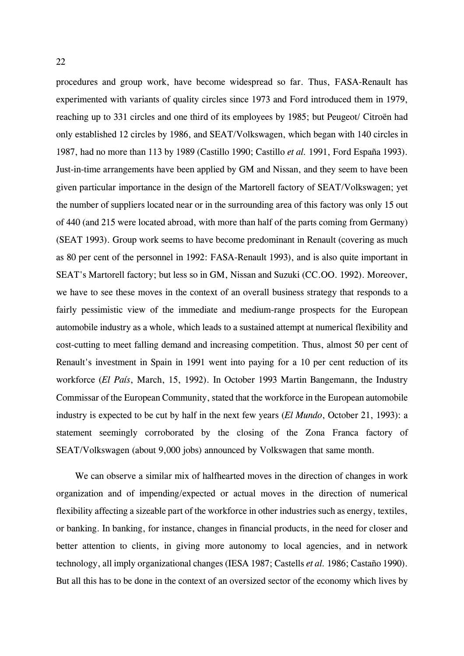procedures and group work, have become widespread so far. Thus, FASA-Renault has experimented with variants of quality circles since 1973 and Ford introduced them in 1979, reaching up to 331 circles and one third of its employees by 1985; but Peugeot/ Citroën had only established 12 circles by 1986, and SEAT/Volkswagen, which began with 140 circles in 1987, had no more than 113 by 1989 (Castillo 1990; Castillo *et al.* 1991, Ford España 1993). Just-in-time arrangements have been applied by GM and Nissan, and they seem to have been given particular importance in the design of the Martorell factory of SEAT/Volkswagen; yet the number of suppliers located near or in the surrounding area of this factory was only 15 out of 440 (and 215 were located abroad, with more than half of the parts coming from Germany) (SEAT 1993). Group work seems to have become predominant in Renault (covering as much as 80 per cent of the personnel in 1992: FASA-Renault 1993), and is also quite important in SEAT's Martorell factory; but less so in GM, Nissan and Suzuki (CC.OO. 1992). Moreover, we have to see these moves in the context of an overall business strategy that responds to a fairly pessimistic view of the immediate and medium-range prospects for the European automobile industry as a whole, which leads to a sustained attempt at numerical flexibility and cost-cutting to meet falling demand and increasing competition. Thus, almost 50 per cent of Renault's investment in Spain in 1991 went into paying for a 10 per cent reduction of its workforce (*El País*, March, 15, 1992). In October 1993 Martin Bangemann, the Industry Commissar of the European Community, stated that the workforce in the European automobile industry is expected to be cut by half in the next few years (*El Mundo*, October 21, 1993): a statement seemingly corroborated by the closing of the Zona Franca factory of SEAT/Volkswagen (about 9,000 jobs) announced by Volkswagen that same month.

 We can observe a similar mix of halfhearted moves in the direction of changes in work organization and of impending/expected or actual moves in the direction of numerical flexibility affecting a sizeable part of the workforce in other industries such as energy, textiles, or banking. In banking, for instance, changes in financial products, in the need for closer and better attention to clients, in giving more autonomy to local agencies, and in network technology, all imply organizational changes (IESA 1987; Castells *et al.* 1986; Castaño 1990). But all this has to be done in the context of an oversized sector of the economy which lives by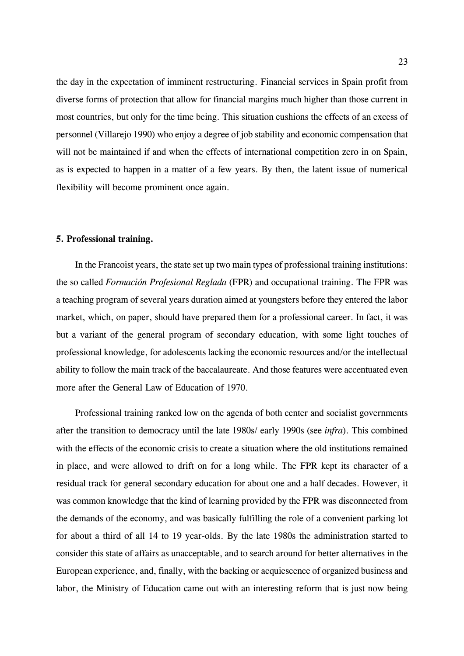the day in the expectation of imminent restructuring. Financial services in Spain profit from diverse forms of protection that allow for financial margins much higher than those current in most countries, but only for the time being. This situation cushions the effects of an excess of personnel (Villarejo 1990) who enjoy a degree of job stability and economic compensation that will not be maintained if and when the effects of international competition zero in on Spain, as is expected to happen in a matter of a few years. By then, the latent issue of numerical flexibility will become prominent once again.

#### **5. Professional training.**

In the Francoist years, the state set up two main types of professional training institutions: the so called *Formación Profesional Reglada* (FPR) and occupational training. The FPR was a teaching program of several years duration aimed at youngsters before they entered the labor market, which, on paper, should have prepared them for a professional career. In fact, it was but a variant of the general program of secondary education, with some light touches of professional knowledge, for adolescents lacking the economic resources and/or the intellectual ability to follow the main track of the baccalaureate. And those features were accentuated even more after the General Law of Education of 1970.

Professional training ranked low on the agenda of both center and socialist governments after the transition to democracy until the late 1980s/ early 1990s (see *infra*). This combined with the effects of the economic crisis to create a situation where the old institutions remained in place, and were allowed to drift on for a long while. The FPR kept its character of a residual track for general secondary education for about one and a half decades. However, it was common knowledge that the kind of learning provided by the FPR was disconnected from the demands of the economy, and was basically fulfilling the role of a convenient parking lot for about a third of all 14 to 19 year-olds. By the late 1980s the administration started to consider this state of affairs as unacceptable, and to search around for better alternatives in the European experience, and, finally, with the backing or acquiescence of organized business and labor, the Ministry of Education came out with an interesting reform that is just now being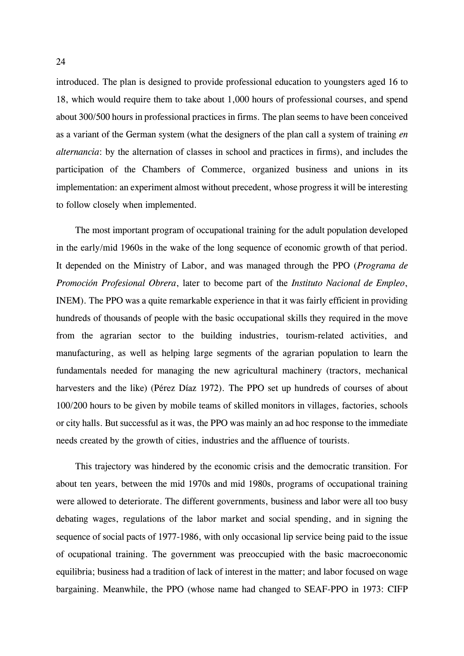introduced. The plan is designed to provide professional education to youngsters aged 16 to 18, which would require them to take about 1,000 hours of professional courses, and spend about 300/500 hours in professional practices in firms. The plan seems to have been conceived as a variant of the German system (what the designers of the plan call a system of training *en alternancia*: by the alternation of classes in school and practices in firms), and includes the participation of the Chambers of Commerce, organized business and unions in its implementation: an experiment almost without precedent, whose progress it will be interesting to follow closely when implemented.

The most important program of occupational training for the adult population developed in the early/mid 1960s in the wake of the long sequence of economic growth of that period. It depended on the Ministry of Labor, and was managed through the PPO (*Programa de Promoción Profesional Obrera*, later to become part of the *Instituto Nacional de Empleo*, INEM). The PPO was a quite remarkable experience in that it was fairly efficient in providing hundreds of thousands of people with the basic occupational skills they required in the move from the agrarian sector to the building industries, tourism-related activities, and manufacturing, as well as helping large segments of the agrarian population to learn the fundamentals needed for managing the new agricultural machinery (tractors, mechanical harvesters and the like) (Pérez Díaz 1972). The PPO set up hundreds of courses of about 100/200 hours to be given by mobile teams of skilled monitors in villages, factories, schools or city halls. But successful as it was, the PPO was mainly an ad hoc response to the immediate needs created by the growth of cities, industries and the affluence of tourists.

This trajectory was hindered by the economic crisis and the democratic transition. For about ten years, between the mid 1970s and mid 1980s, programs of occupational training were allowed to deteriorate. The different governments, business and labor were all too busy debating wages, regulations of the labor market and social spending, and in signing the sequence of social pacts of 1977-1986, with only occasional lip service being paid to the issue of ocupational training. The government was preoccupied with the basic macroeconomic equilibria; business had a tradition of lack of interest in the matter; and labor focused on wage bargaining. Meanwhile, the PPO (whose name had changed to SEAF-PPO in 1973: CIFP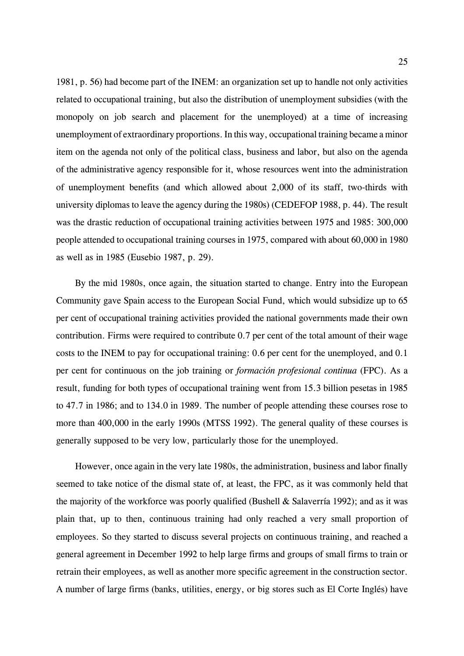1981, p. 56) had become part of the INEM: an organization set up to handle not only activities related to occupational training, but also the distribution of unemployment subsidies (with the monopoly on job search and placement for the unemployed) at a time of increasing unemployment of extraordinary proportions. In this way, occupational training became a minor item on the agenda not only of the political class, business and labor, but also on the agenda of the administrative agency responsible for it, whose resources went into the administration of unemployment benefits (and which allowed about 2,000 of its staff, two-thirds with university diplomas to leave the agency during the 1980s) (CEDEFOP 1988, p. 44). The result was the drastic reduction of occupational training activities between 1975 and 1985: 300,000 people attended to occupational training courses in 1975, compared with about 60,000 in 1980 as well as in 1985 (Eusebio 1987, p. 29).

By the mid 1980s, once again, the situation started to change. Entry into the European Community gave Spain access to the European Social Fund, which would subsidize up to 65 per cent of occupational training activities provided the national governments made their own contribution. Firms were required to contribute 0.7 per cent of the total amount of their wage costs to the INEM to pay for occupational training: 0.6 per cent for the unemployed, and 0.1 per cent for continuous on the job training or *formación profesional continua* (FPC). As a result, funding for both types of occupational training went from 15.3 billion pesetas in 1985 to 47.7 in 1986; and to 134.0 in 1989. The number of people attending these courses rose to more than 400,000 in the early 1990s (MTSS 1992). The general quality of these courses is generally supposed to be very low, particularly those for the unemployed.

However, once again in the very late 1980s, the administration, business and labor finally seemed to take notice of the dismal state of, at least, the FPC, as it was commonly held that the majority of the workforce was poorly qualified (Bushell & Salaverría 1992); and as it was plain that, up to then, continuous training had only reached a very small proportion of employees. So they started to discuss several projects on continuous training, and reached a general agreement in December 1992 to help large firms and groups of small firms to train or retrain their employees, as well as another more specific agreement in the construction sector. A number of large firms (banks, utilities, energy, or big stores such as El Corte Inglés) have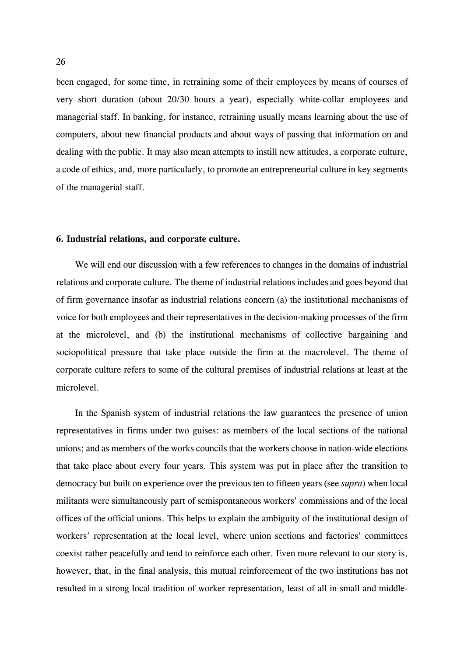been engaged, for some time, in retraining some of their employees by means of courses of very short duration (about 20/30 hours a year), especially white-collar employees and managerial staff. In banking, for instance, retraining usually means learning about the use of computers, about new financial products and about ways of passing that information on and dealing with the public. It may also mean attempts to instill new attitudes, a corporate culture, a code of ethics, and, more particularly, to promote an entrepreneurial culture in key segments of the managerial staff.

#### **6. Industrial relations, and corporate culture.**

We will end our discussion with a few references to changes in the domains of industrial relations and corporate culture. The theme of industrial relations includes and goes beyond that of firm governance insofar as industrial relations concern (a) the institutional mechanisms of voice for both employees and their representatives in the decision-making processes of the firm at the microlevel, and (b) the institutional mechanisms of collective bargaining and sociopolitical pressure that take place outside the firm at the macrolevel. The theme of corporate culture refers to some of the cultural premises of industrial relations at least at the microlevel.

In the Spanish system of industrial relations the law guarantees the presence of union representatives in firms under two guises: as members of the local sections of the national unions; and as members of the works councils that the workers choose in nation-wide elections that take place about every four years. This system was put in place after the transition to democracy but built on experience over the previous ten to fifteen years (see *supra*) when local militants were simultaneously part of semispontaneous workers' commissions and of the local offices of the official unions. This helps to explain the ambiguity of the institutional design of workers' representation at the local level, where union sections and factories' committees coexist rather peacefully and tend to reinforce each other. Even more relevant to our story is, however, that, in the final analysis, this mutual reinforcement of the two institutions has not resulted in a strong local tradition of worker representation, least of all in small and middle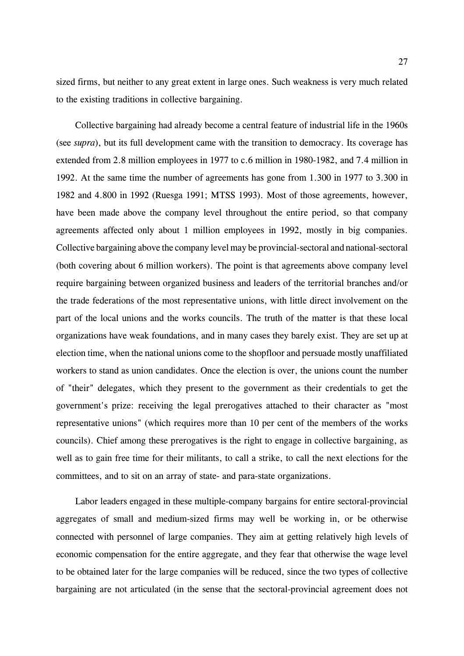sized firms, but neither to any great extent in large ones. Such weakness is very much related to the existing traditions in collective bargaining.

Collective bargaining had already become a central feature of industrial life in the 1960s (see *supra*), but its full development came with the transition to democracy. Its coverage has extended from 2.8 million employees in 1977 to c.6 million in 1980-1982, and 7.4 million in 1992. At the same time the number of agreements has gone from 1.300 in 1977 to 3.300 in 1982 and 4.800 in 1992 (Ruesga 1991; MTSS 1993). Most of those agreements, however, have been made above the company level throughout the entire period, so that company agreements affected only about 1 million employees in 1992, mostly in big companies. Collective bargaining above the company level may be provincial-sectoral and national-sectoral (both covering about 6 million workers). The point is that agreements above company level require bargaining between organized business and leaders of the territorial branches and/or the trade federations of the most representative unions, with little direct involvement on the part of the local unions and the works councils. The truth of the matter is that these local organizations have weak foundations, and in many cases they barely exist. They are set up at election time, when the national unions come to the shopfloor and persuade mostly unaffiliated workers to stand as union candidates. Once the election is over, the unions count the number of "their" delegates, which they present to the government as their credentials to get the government's prize: receiving the legal prerogatives attached to their character as "most representative unions" (which requires more than 10 per cent of the members of the works councils). Chief among these prerogatives is the right to engage in collective bargaining, as well as to gain free time for their militants, to call a strike, to call the next elections for the committees, and to sit on an array of state- and para-state organizations.

Labor leaders engaged in these multiple-company bargains for entire sectoral-provincial aggregates of small and medium-sized firms may well be working in, or be otherwise connected with personnel of large companies. They aim at getting relatively high levels of economic compensation for the entire aggregate, and they fear that otherwise the wage level to be obtained later for the large companies will be reduced, since the two types of collective bargaining are not articulated (in the sense that the sectoral-provincial agreement does not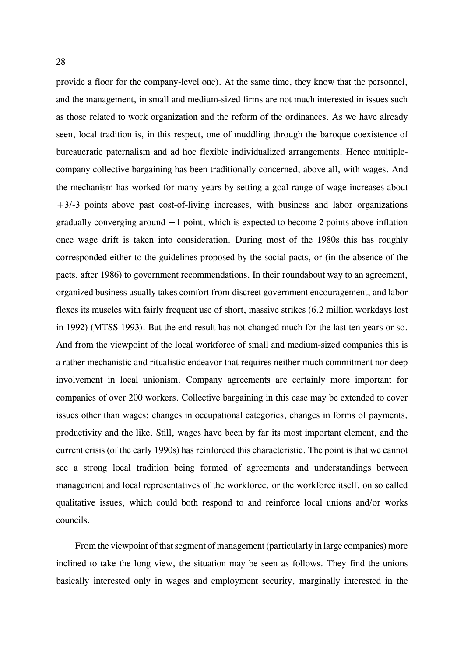provide a floor for the company-level one). At the same time, they know that the personnel, and the management, in small and medium-sized firms are not much interested in issues such as those related to work organization and the reform of the ordinances. As we have already seen, local tradition is, in this respect, one of muddling through the baroque coexistence of bureaucratic paternalism and ad hoc flexible individualized arrangements. Hence multiplecompany collective bargaining has been traditionally concerned, above all, with wages. And the mechanism has worked for many years by setting a goal-range of wage increases about +3/-3 points above past cost-of-living increases, with business and labor organizations gradually converging around  $+1$  point, which is expected to become 2 points above inflation once wage drift is taken into consideration. During most of the 1980s this has roughly corresponded either to the guidelines proposed by the social pacts, or (in the absence of the pacts, after 1986) to government recommendations. In their roundabout way to an agreement, organized business usually takes comfort from discreet government encouragement, and labor flexes its muscles with fairly frequent use of short, massive strikes (6.2 million workdays lost in 1992) (MTSS 1993). But the end result has not changed much for the last ten years or so. And from the viewpoint of the local workforce of small and medium-sized companies this is a rather mechanistic and ritualistic endeavor that requires neither much commitment nor deep involvement in local unionism. Company agreements are certainly more important for companies of over 200 workers. Collective bargaining in this case may be extended to cover issues other than wages: changes in occupational categories, changes in forms of payments, productivity and the like. Still, wages have been by far its most important element, and the current crisis (of the early 1990s) has reinforced this characteristic. The point is that we cannot see a strong local tradition being formed of agreements and understandings between management and local representatives of the workforce, or the workforce itself, on so called qualitative issues, which could both respond to and reinforce local unions and/or works councils.

From the viewpoint of that segment of management (particularly in large companies) more inclined to take the long view, the situation may be seen as follows. They find the unions basically interested only in wages and employment security, marginally interested in the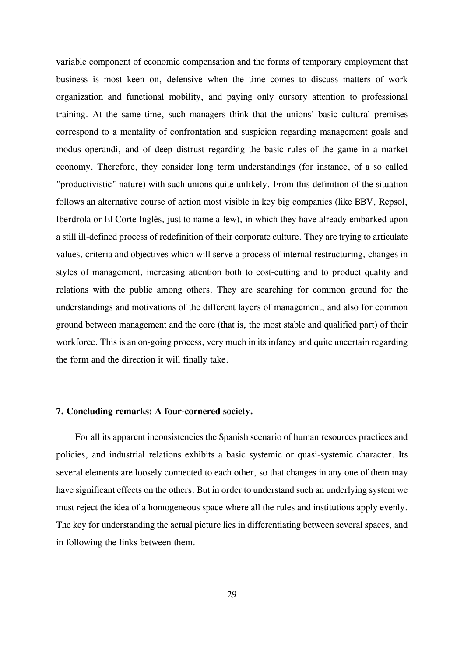variable component of economic compensation and the forms of temporary employment that business is most keen on, defensive when the time comes to discuss matters of work organization and functional mobility, and paying only cursory attention to professional training. At the same time, such managers think that the unions' basic cultural premises correspond to a mentality of confrontation and suspicion regarding management goals and modus operandi, and of deep distrust regarding the basic rules of the game in a market economy. Therefore, they consider long term understandings (for instance, of a so called "productivistic" nature) with such unions quite unlikely. From this definition of the situation follows an alternative course of action most visible in key big companies (like BBV, Repsol, Iberdrola or El Corte Inglés, just to name a few), in which they have already embarked upon a still ill-defined process of redefinition of their corporate culture. They are trying to articulate values, criteria and objectives which will serve a process of internal restructuring, changes in styles of management, increasing attention both to cost-cutting and to product quality and relations with the public among others. They are searching for common ground for the understandings and motivations of the different layers of management, and also for common ground between management and the core (that is, the most stable and qualified part) of their workforce. This is an on-going process, very much in its infancy and quite uncertain regarding the form and the direction it will finally take.

#### **7. Concluding remarks: A four-cornered society.**

For all its apparent inconsistencies the Spanish scenario of human resources practices and policies, and industrial relations exhibits a basic systemic or quasi-systemic character. Its several elements are loosely connected to each other, so that changes in any one of them may have significant effects on the others. But in order to understand such an underlying system we must reject the idea of a homogeneous space where all the rules and institutions apply evenly. The key for understanding the actual picture lies in differentiating between several spaces, and in following the links between them.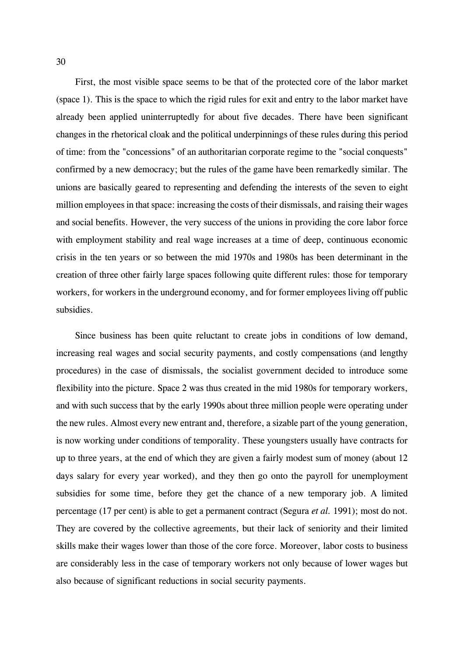First, the most visible space seems to be that of the protected core of the labor market (space 1). This is the space to which the rigid rules for exit and entry to the labor market have already been applied uninterruptedly for about five decades. There have been significant changes in the rhetorical cloak and the political underpinnings of these rules during this period of time: from the "concessions" of an authoritarian corporate regime to the "social conquests" confirmed by a new democracy; but the rules of the game have been remarkedly similar. The unions are basically geared to representing and defending the interests of the seven to eight million employees in that space: increasing the costs of their dismissals, and raising their wages and social benefits. However, the very success of the unions in providing the core labor force with employment stability and real wage increases at a time of deep, continuous economic crisis in the ten years or so between the mid 1970s and 1980s has been determinant in the creation of three other fairly large spaces following quite different rules: those for temporary workers, for workers in the underground economy, and for former employees living off public subsidies.

Since business has been quite reluctant to create jobs in conditions of low demand, increasing real wages and social security payments, and costly compensations (and lengthy procedures) in the case of dismissals, the socialist government decided to introduce some flexibility into the picture. Space 2 was thus created in the mid 1980s for temporary workers, and with such success that by the early 1990s about three million people were operating under the new rules. Almost every new entrant and, therefore, a sizable part of the young generation, is now working under conditions of temporality. These youngsters usually have contracts for up to three years, at the end of which they are given a fairly modest sum of money (about 12 days salary for every year worked), and they then go onto the payroll for unemployment subsidies for some time, before they get the chance of a new temporary job. A limited percentage (17 per cent) is able to get a permanent contract (Segura *et al.* 1991); most do not. They are covered by the collective agreements, but their lack of seniority and their limited skills make their wages lower than those of the core force. Moreover, labor costs to business are considerably less in the case of temporary workers not only because of lower wages but also because of significant reductions in social security payments.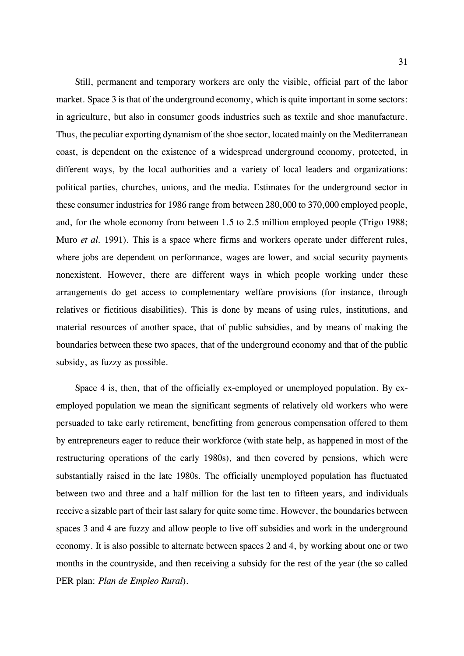Still, permanent and temporary workers are only the visible, official part of the labor market. Space 3 is that of the underground economy, which is quite important in some sectors: in agriculture, but also in consumer goods industries such as textile and shoe manufacture. Thus, the peculiar exporting dynamism of the shoe sector, located mainly on the Mediterranean coast, is dependent on the existence of a widespread underground economy, protected, in different ways, by the local authorities and a variety of local leaders and organizations: political parties, churches, unions, and the media. Estimates for the underground sector in these consumer industries for 1986 range from between 280,000 to 370,000 employed people, and, for the whole economy from between 1.5 to 2.5 million employed people (Trigo 1988; Muro *et al.* 1991). This is a space where firms and workers operate under different rules, where jobs are dependent on performance, wages are lower, and social security payments nonexistent. However, there are different ways in which people working under these arrangements do get access to complementary welfare provisions (for instance, through relatives or fictitious disabilities). This is done by means of using rules, institutions, and material resources of another space, that of public subsidies, and by means of making the boundaries between these two spaces, that of the underground economy and that of the public subsidy, as fuzzy as possible.

Space 4 is, then, that of the officially ex-employed or unemployed population. By exemployed population we mean the significant segments of relatively old workers who were persuaded to take early retirement, benefitting from generous compensation offered to them by entrepreneurs eager to reduce their workforce (with state help, as happened in most of the restructuring operations of the early 1980s), and then covered by pensions, which were substantially raised in the late 1980s. The officially unemployed population has fluctuated between two and three and a half million for the last ten to fifteen years, and individuals receive a sizable part of their last salary for quite some time. However, the boundaries between spaces 3 and 4 are fuzzy and allow people to live off subsidies and work in the underground economy. It is also possible to alternate between spaces 2 and 4, by working about one or two months in the countryside, and then receiving a subsidy for the rest of the year (the so called PER plan: *Plan de Empleo Rural*).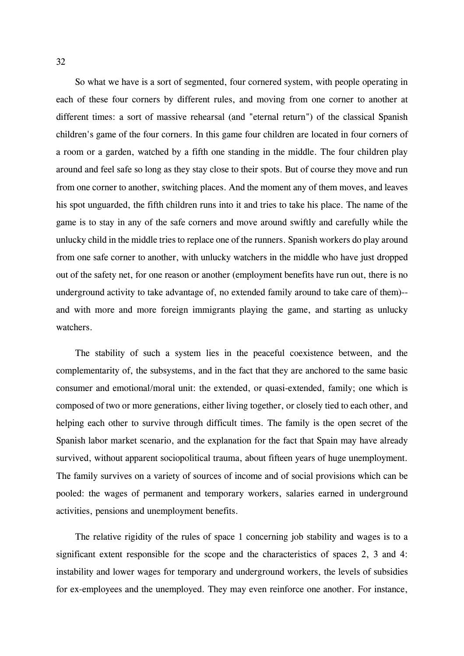So what we have is a sort of segmented, four cornered system, with people operating in each of these four corners by different rules, and moving from one corner to another at different times: a sort of massive rehearsal (and "eternal return") of the classical Spanish children's game of the four corners. In this game four children are located in four corners of a room or a garden, watched by a fifth one standing in the middle. The four children play around and feel safe so long as they stay close to their spots. But of course they move and run from one corner to another, switching places. And the moment any of them moves, and leaves his spot unguarded, the fifth children runs into it and tries to take his place. The name of the game is to stay in any of the safe corners and move around swiftly and carefully while the unlucky child in the middle tries to replace one of the runners. Spanish workers do play around from one safe corner to another, with unlucky watchers in the middle who have just dropped out of the safety net, for one reason or another (employment benefits have run out, there is no underground activity to take advantage of, no extended family around to take care of them)- and with more and more foreign immigrants playing the game, and starting as unlucky watchers.

The stability of such a system lies in the peaceful coexistence between, and the complementarity of, the subsystems, and in the fact that they are anchored to the same basic consumer and emotional/moral unit: the extended, or quasi-extended, family; one which is composed of two or more generations, either living together, or closely tied to each other, and helping each other to survive through difficult times. The family is the open secret of the Spanish labor market scenario, and the explanation for the fact that Spain may have already survived, without apparent sociopolitical trauma, about fifteen years of huge unemployment. The family survives on a variety of sources of income and of social provisions which can be pooled: the wages of permanent and temporary workers, salaries earned in underground activities, pensions and unemployment benefits.

The relative rigidity of the rules of space 1 concerning job stability and wages is to a significant extent responsible for the scope and the characteristics of spaces 2, 3 and 4: instability and lower wages for temporary and underground workers, the levels of subsidies for ex-employees and the unemployed. They may even reinforce one another. For instance,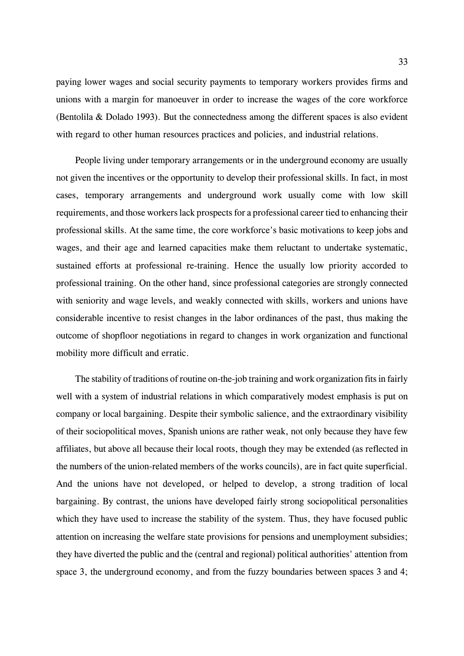paying lower wages and social security payments to temporary workers provides firms and unions with a margin for manoeuver in order to increase the wages of the core workforce (Bentolila & Dolado 1993). But the connectedness among the different spaces is also evident with regard to other human resources practices and policies, and industrial relations.

People living under temporary arrangements or in the underground economy are usually not given the incentives or the opportunity to develop their professional skills. In fact, in most cases, temporary arrangements and underground work usually come with low skill requirements, and those workers lack prospects for a professional career tied to enhancing their professional skills. At the same time, the core workforce's basic motivations to keep jobs and wages, and their age and learned capacities make them reluctant to undertake systematic, sustained efforts at professional re-training. Hence the usually low priority accorded to professional training. On the other hand, since professional categories are strongly connected with seniority and wage levels, and weakly connected with skills, workers and unions have considerable incentive to resist changes in the labor ordinances of the past, thus making the outcome of shopfloor negotiations in regard to changes in work organization and functional mobility more difficult and erratic.

The stability of traditions of routine on-the-job training and work organization fits in fairly well with a system of industrial relations in which comparatively modest emphasis is put on company or local bargaining. Despite their symbolic salience, and the extraordinary visibility of their sociopolitical moves, Spanish unions are rather weak, not only because they have few affiliates, but above all because their local roots, though they may be extended (as reflected in the numbers of the union-related members of the works councils), are in fact quite superficial. And the unions have not developed, or helped to develop, a strong tradition of local bargaining. By contrast, the unions have developed fairly strong sociopolitical personalities which they have used to increase the stability of the system. Thus, they have focused public attention on increasing the welfare state provisions for pensions and unemployment subsidies; they have diverted the public and the (central and regional) political authorities' attention from space 3, the underground economy, and from the fuzzy boundaries between spaces 3 and 4;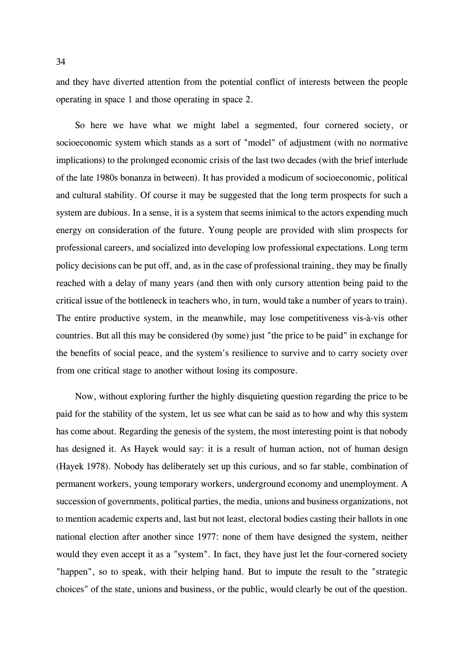and they have diverted attention from the potential conflict of interests between the people operating in space 1 and those operating in space 2.

So here we have what we might label a segmented, four cornered society, or socioeconomic system which stands as a sort of "model" of adjustment (with no normative implications) to the prolonged economic crisis of the last two decades (with the brief interlude of the late 1980s bonanza in between). It has provided a modicum of socioeconomic, political and cultural stability. Of course it may be suggested that the long term prospects for such a system are dubious. In a sense, it is a system that seems inimical to the actors expending much energy on consideration of the future. Young people are provided with slim prospects for professional careers, and socialized into developing low professional expectations. Long term policy decisions can be put off, and, as in the case of professional training, they may be finally reached with a delay of many years (and then with only cursory attention being paid to the critical issue of the bottleneck in teachers who, in turn, would take a number of years to train). The entire productive system, in the meanwhile, may lose competitiveness vis-à-vis other countries. But all this may be considered (by some) just "the price to be paid" in exchange for the benefits of social peace, and the system's resilience to survive and to carry society over from one critical stage to another without losing its composure.

Now, without exploring further the highly disquieting question regarding the price to be paid for the stability of the system, let us see what can be said as to how and why this system has come about. Regarding the genesis of the system, the most interesting point is that nobody has designed it. As Hayek would say: it is a result of human action, not of human design (Hayek 1978). Nobody has deliberately set up this curious, and so far stable, combination of permanent workers, young temporary workers, underground economy and unemployment. A succession of governments, political parties, the media, unions and business organizations, not to mention academic experts and, last but not least, electoral bodies casting their ballots in one national election after another since 1977: none of them have designed the system, neither would they even accept it as a "system". In fact, they have just let the four-cornered society "happen", so to speak, with their helping hand. But to impute the result to the "strategic choices" of the state, unions and business, or the public, would clearly be out of the question.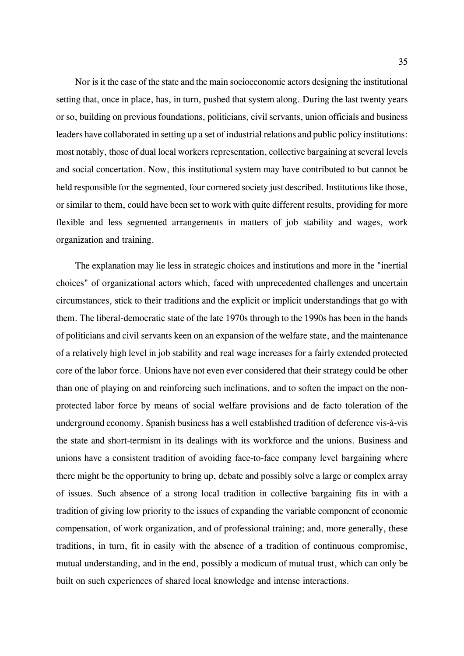Nor is it the case of the state and the main socioeconomic actors designing the institutional setting that, once in place, has, in turn, pushed that system along. During the last twenty years or so, building on previous foundations, politicians, civil servants, union officials and business leaders have collaborated in setting up a set of industrial relations and public policy institutions: most notably, those of dual local workers representation, collective bargaining at several levels and social concertation. Now, this institutional system may have contributed to but cannot be held responsible for the segmented, four cornered society just described. Institutions like those, or similar to them, could have been set to work with quite different results, providing for more flexible and less segmented arrangements in matters of job stability and wages, work organization and training.

The explanation may lie less in strategic choices and institutions and more in the "inertial choices" of organizational actors which, faced with unprecedented challenges and uncertain circumstances, stick to their traditions and the explicit or implicit understandings that go with them. The liberal-democratic state of the late 1970s through to the 1990s has been in the hands of politicians and civil servants keen on an expansion of the welfare state, and the maintenance of a relatively high level in job stability and real wage increases for a fairly extended protected core of the labor force. Unions have not even ever considered that their strategy could be other than one of playing on and reinforcing such inclinations, and to soften the impact on the nonprotected labor force by means of social welfare provisions and de facto toleration of the underground economy. Spanish business has a well established tradition of deference vis-à-vis the state and short-termism in its dealings with its workforce and the unions. Business and unions have a consistent tradition of avoiding face-to-face company level bargaining where there might be the opportunity to bring up, debate and possibly solve a large or complex array of issues. Such absence of a strong local tradition in collective bargaining fits in with a tradition of giving low priority to the issues of expanding the variable component of economic compensation, of work organization, and of professional training; and, more generally, these traditions, in turn, fit in easily with the absence of a tradition of continuous compromise, mutual understanding, and in the end, possibly a modicum of mutual trust, which can only be built on such experiences of shared local knowledge and intense interactions.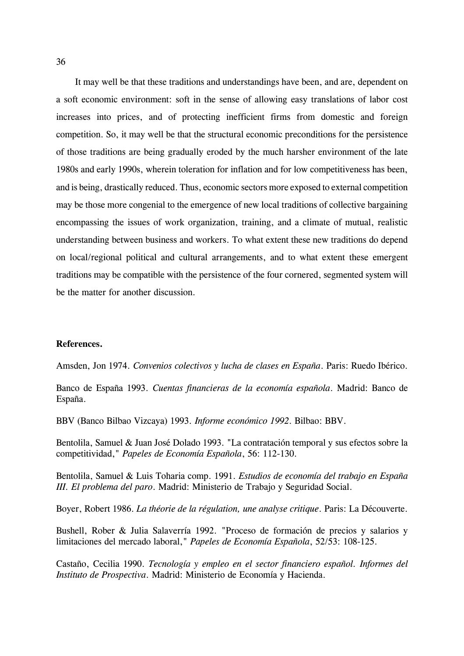It may well be that these traditions and understandings have been, and are, dependent on a soft economic environment: soft in the sense of allowing easy translations of labor cost increases into prices, and of protecting inefficient firms from domestic and foreign competition. So, it may well be that the structural economic preconditions for the persistence of those traditions are being gradually eroded by the much harsher environment of the late 1980s and early 1990s, wherein toleration for inflation and for low competitiveness has been, and is being, drastically reduced. Thus, economic sectors more exposed to external competition may be those more congenial to the emergence of new local traditions of collective bargaining encompassing the issues of work organization, training, and a climate of mutual, realistic understanding between business and workers. To what extent these new traditions do depend on local/regional political and cultural arrangements, and to what extent these emergent traditions may be compatible with the persistence of the four cornered, segmented system will be the matter for another discussion.

#### **References.**

Amsden, Jon 1974. *Convenios colectivos y lucha de clases en España*. Paris: Ruedo Ibérico.

Banco de España 1993. *Cuentas financieras de la economía española*. Madrid: Banco de España.

BBV (Banco Bilbao Vizcaya) 1993. *Informe económico 1992*. Bilbao: BBV.

Bentolila, Samuel & Juan José Dolado 1993. "La contratación temporal y sus efectos sobre la competitividad," *Papeles de Economía Española*, 56: 112-130.

Bentolila, Samuel & Luis Toharia comp. 1991. *Estudios de economía del trabajo en España III. El problema del paro*. Madrid: Ministerio de Trabajo y Seguridad Social.

Boyer, Robert 1986. *La théorie de la régulation, une analyse critique*. Paris: La Découverte.

Bushell, Rober & Julia Salaverría 1992. "Proceso de formación de precios y salarios y limitaciones del mercado laboral," *Papeles de Economía Española*, 52/53: 108-125.

Castaño, Cecilia 1990. *Tecnología y empleo en el sector financiero español. Informes del Instituto de Prospectiva*. Madrid: Ministerio de Economía y Hacienda.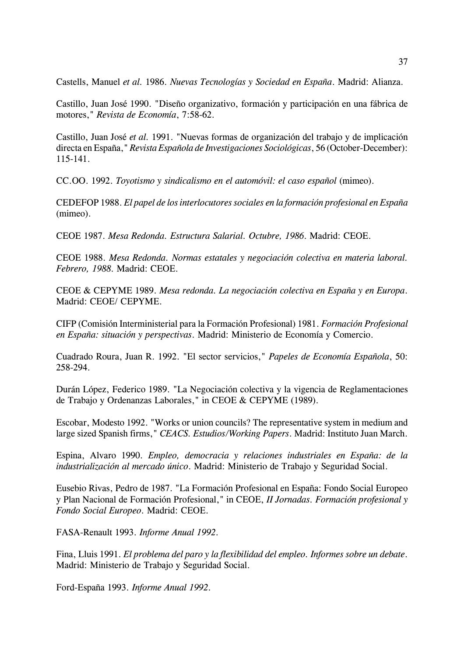Castells, Manuel *et al.* 1986. *Nuevas Tecnologías y Sociedad en España*. Madrid: Alianza.

Castillo, Juan José 1990. "Diseño organizativo, formación y participación en una fábrica de motores," *Revista de Economía*, 7:58-62.

Castillo, Juan José *et al.* 1991. "Nuevas formas de organización del trabajo y de implicación directa en España," *Revista Española de Investigaciones Sociológicas*, 56 (October-December): 115-141.

CC.OO. 1992. *Toyotismo y sindicalismo en el automóvil: el caso español* (mimeo).

CEDEFOP 1988. *El papel de los interlocutores sociales en la formación profesional en España* (mimeo).

CEOE 1987. *Mesa Redonda. Estructura Salarial. Octubre, 1986*. Madrid: CEOE.

CEOE 1988. *Mesa Redonda. Normas estatales y negociación colectiva en materia laboral. Febrero, 1988*. Madrid: CEOE.

CEOE & CEPYME 1989. *Mesa redonda. La negociación colectiva en España y en Europa*. Madrid: CEOE/ CEPYME.

CIFP (Comisión Interministerial para la Formación Profesional) 1981. *Formación Profesional en España: situación y perspectivas*. Madrid: Ministerio de Economía y Comercio.

Cuadrado Roura, Juan R. 1992. "El sector servicios," *Papeles de Economía Española*, 50: 258-294.

Durán López, Federico 1989. "La Negociación colectiva y la vigencia de Reglamentaciones de Trabajo y Ordenanzas Laborales," in CEOE & CEPYME (1989).

Escobar, Modesto 1992. "Works or union councils? The representative system in medium and large sized Spanish firms," *CEACS. Estudios/Working Papers*. Madrid: Instituto Juan March.

Espina, Alvaro 1990. *Empleo, democracia y relaciones industriales en España: de la industrialización al mercado único*. Madrid: Ministerio de Trabajo y Seguridad Social.

Eusebio Rivas, Pedro de 1987. "La Formación Profesional en España: Fondo Social Europeo y Plan Nacional de Formación Profesional," in CEOE, *II Jornadas. Formación profesional y Fondo Social Europeo*. Madrid: CEOE.

FASA-Renault 1993. *Informe Anual 1992*.

Fina, Lluis 1991. *El problema del paro y la flexibilidad del empleo. Informes sobre un debate*. Madrid: Ministerio de Trabajo y Seguridad Social.

Ford-España 1993. *Informe Anual 1992*.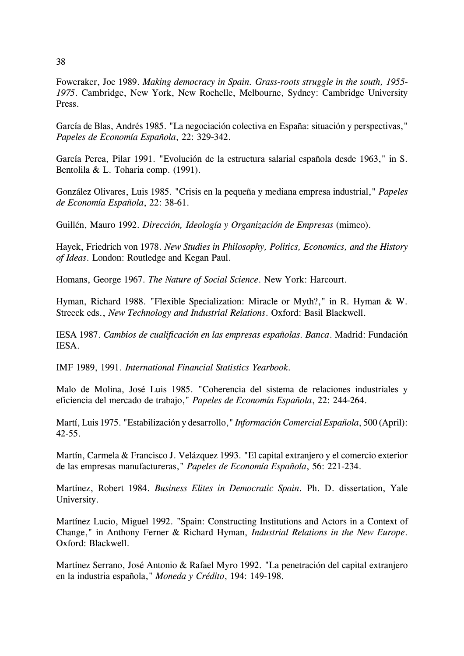Foweraker, Joe 1989. *Making democracy in Spain. Grass-roots struggle in the south, 1955- 1975*. Cambridge, New York, New Rochelle, Melbourne, Sydney: Cambridge University Press.

García de Blas, Andrés 1985. "La negociación colectiva en España: situación y perspectivas," *Papeles de Economía Española*, 22: 329-342.

García Perea, Pilar 1991. "Evolución de la estructura salarial española desde 1963," in S. Bentolila & L. Toharia comp. (1991).

González Olivares, Luis 1985. "Crisis en la pequeña y mediana empresa industrial," *Papeles de Economía Española*, 22: 38-61.

Guillén, Mauro 1992. *Dirección, Ideología y Organización de Empresas* (mimeo).

Hayek, Friedrich von 1978. *New Studies in Philosophy, Politics, Economics, and the History of Ideas*. London: Routledge and Kegan Paul.

Homans, George 1967. *The Nature of Social Science*. New York: Harcourt.

Hyman, Richard 1988. "Flexible Specialization: Miracle or Myth?," in R. Hyman & W. Streeck eds., *New Technology and Industrial Relations*. Oxford: Basil Blackwell.

IESA 1987. *Cambios de cualificación en las empresas españolas. Banca*. Madrid: Fundación IESA.

IMF 1989, 1991. *International Financial Statistics Yearbook*.

Malo de Molina, José Luis 1985. "Coherencia del sistema de relaciones industriales y eficiencia del mercado de trabajo," *Papeles de Economía Española*, 22: 244-264.

Martí, Luis 1975. "Estabilización y desarrollo," *Información Comercial Española*, 500 (April): 42-55.

Martín, Carmela & Francisco J. Velázquez 1993. "El capital extranjero y el comercio exterior de las empresas manufactureras," *Papeles de Economía Española*, 56: 221-234.

Martínez, Robert 1984. *Business Elites in Democratic Spain*. Ph. D. dissertation, Yale University.

Martínez Lucio, Miguel 1992. "Spain: Constructing Institutions and Actors in a Context of Change," in Anthony Ferner & Richard Hyman, *Industrial Relations in the New Europe*. Oxford: Blackwell.

Martínez Serrano, José Antonio & Rafael Myro 1992. "La penetración del capital extranjero en la industria española," *Moneda y Crédito*, 194: 149-198.

38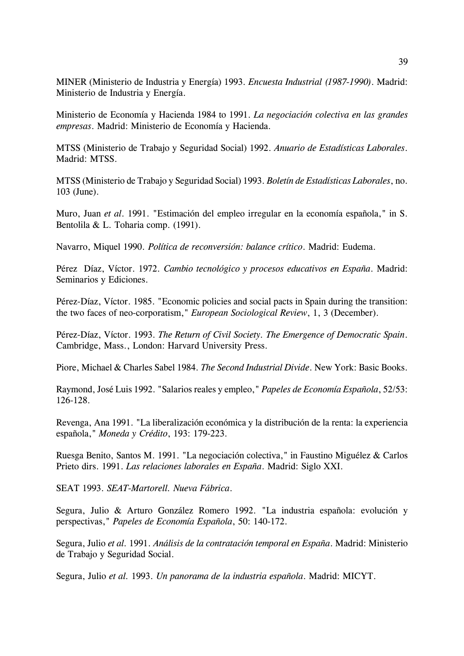MINER (Ministerio de Industria y Energía) 1993. *Encuesta Industrial (1987-1990)*. Madrid: Ministerio de Industria y Energía.

Ministerio de Economía y Hacienda 1984 to 1991. *La negociación colectiva en las grandes empresas*. Madrid: Ministerio de Economía y Hacienda.

MTSS (Ministerio de Trabajo y Seguridad Social) 1992. *Anuario de Estadísticas Laborales*. Madrid: MTSS.

MTSS (Ministerio de Trabajo y Seguridad Social) 1993. *Boletín de Estadísticas Laborales*, no. 103 (June).

Muro, Juan *et al*. 1991. "Estimación del empleo irregular en la economía española," in S. Bentolila & L. Toharia comp. (1991).

Navarro, Miquel 1990. *Política de reconversión: balance crítico*. Madrid: Eudema.

Pérez Díaz, Víctor. 1972. *Cambio tecnológico y procesos educativos en España*. Madrid: Seminarios y Ediciones.

Pérez-Díaz, Víctor. 1985. "Economic policies and social pacts in Spain during the transition: the two faces of neo-corporatism," *European Sociological Review*, 1, 3 (December).

Pérez-Díaz, Víctor. 1993. *The Return of Civil Society. The Emergence of Democratic Spain*. Cambridge, Mass., London: Harvard University Press.

Piore, Michael & Charles Sabel 1984. *The Second Industrial Divide*. New York: Basic Books.

Raymond, José Luis 1992. "Salarios reales y empleo," *Papeles de Economía Española*, 52/53: 126-128.

Revenga, Ana 1991. "La liberalización económica y la distribución de la renta: la experiencia española," *Moneda y Crédito*, 193: 179-223.

Ruesga Benito, Santos M. 1991. "La negociación colectiva," in Faustino Miguélez & Carlos Prieto dirs. 1991. *Las relaciones laborales en España*. Madrid: Siglo XXI.

SEAT 1993. *SEAT-Martorell. Nueva Fábrica*.

Segura, Julio & Arturo González Romero 1992. "La industria española: evolución y perspectivas," *Papeles de Economía Española*, 50: 140-172.

Segura, Julio *et al.* 1991. *Análisis de la contratación temporal en España*. Madrid: Ministerio de Trabajo y Seguridad Social.

Segura, Julio *et al.* 1993. *Un panorama de la industria española*. Madrid: MICYT.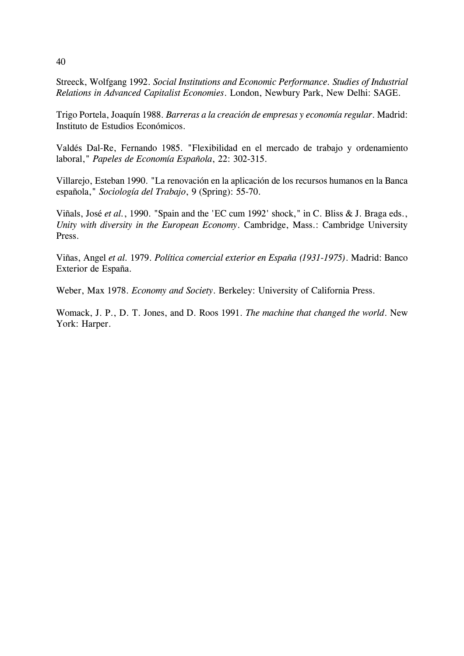Streeck, Wolfgang 1992. *Social Institutions and Economic Performance. Studies of Industrial Relations in Advanced Capitalist Economies*. London, Newbury Park, New Delhi: SAGE.

Trigo Portela, Joaquín 1988. *Barreras a la creación de empresas y economía regular*. Madrid: Instituto de Estudios Económicos.

Valdés Dal-Re, Fernando 1985. "Flexibilidad en el mercado de trabajo y ordenamiento laboral," *Papeles de Economía Española*, 22: 302-315.

Villarejo, Esteban 1990. "La renovación en la aplicación de los recursos humanos en la Banca española," *Sociología del Trabajo*, 9 (Spring): 55-70.

Viñals, José *et al.*, 1990. "Spain and the 'EC cum 1992' shock," in C. Bliss & J. Braga eds., *Unity with diversity in the European Economy*. Cambridge, Mass.: Cambridge University Press.

Viñas, Angel *et al.* 1979. *Política comercial exterior en España (1931-1975)*. Madrid: Banco Exterior de España.

Weber, Max 1978. *Economy and Society*. Berkeley: University of California Press.

Womack, J. P., D. T. Jones, and D. Roos 1991. *The machine that changed the world*. New York: Harper.

40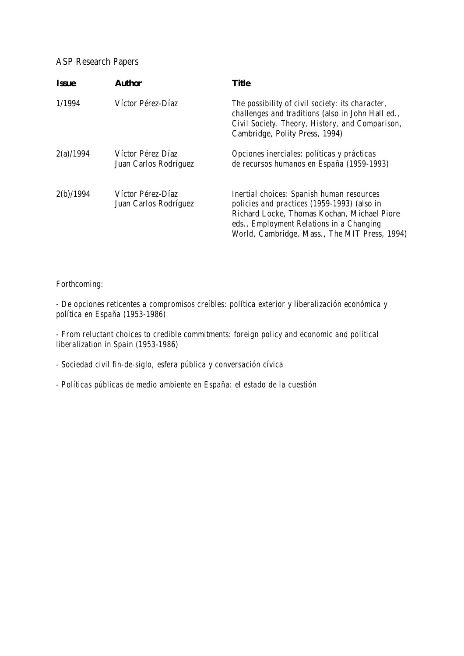## ASP Research Papers

| <b>Issue</b> | <b>Author</b>                              | Title                                                                                                                                                                                                                                       |
|--------------|--------------------------------------------|---------------------------------------------------------------------------------------------------------------------------------------------------------------------------------------------------------------------------------------------|
| 1/1994       | Víctor Pérez-Díaz                          | The possibility of civil society: its character,<br>challenges and traditions (also in John Hall ed.,<br>Civil Society. Theory, History, and Comparison,<br>Cambridge, Polity Press, 1994)                                                  |
| 2(a)/1994    | Víctor Pérez Díaz<br>Juan Carlos Rodríguez | Opciones inerciales: políticas y prácticas<br>de recursos humanos en España (1959-1993)                                                                                                                                                     |
| 2(b)/1994    | Víctor Pérez-Díaz<br>Juan Carlos Rodríguez | <b>Inertial choices: Spanish human resources</b><br>policies and practices (1959-1993) (also in<br>Richard Locke, Thomas Kochan, Michael Piore<br>eds., Employment Relations in a Changing<br>World, Cambridge, Mass., The MIT Press, 1994) |

#### Forthcoming:

*- De opciones reticentes a compromisos creíbles: política exterior y liberalización económica y política en España (1953-1986)*

*- From reluctant choices to credible commitments: foreign policy and economic and political liberalization in Spain (1953-1986)*

*- Sociedad civil fin-de-siglo, esfera pública y conversación cívica*

*- Políticas públicas de medio ambiente en España: el estado de la cuestión*